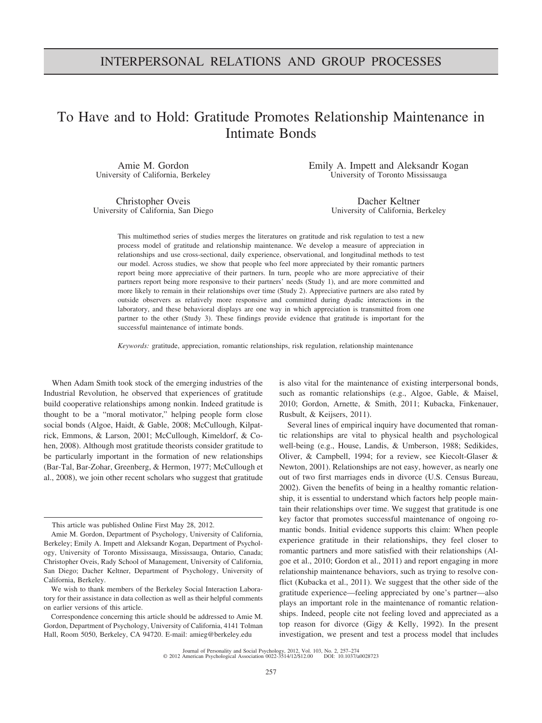# INTERPERSONAL RELATIONS AND GROUP PROCESSES

# To Have and to Hold: Gratitude Promotes Relationship Maintenance in Intimate Bonds

Amie M. Gordon University of California, Berkeley Emily A. Impett and Aleksandr Kogan University of Toronto Mississauga

Christopher Oveis University of California, San Diego

Dacher Keltner University of California, Berkeley

This multimethod series of studies merges the literatures on gratitude and risk regulation to test a new process model of gratitude and relationship maintenance. We develop a measure of appreciation in relationships and use cross-sectional, daily experience, observational, and longitudinal methods to test our model. Across studies, we show that people who feel more appreciated by their romantic partners report being more appreciative of their partners. In turn, people who are more appreciative of their partners report being more responsive to their partners' needs (Study 1), and are more committed and more likely to remain in their relationships over time (Study 2). Appreciative partners are also rated by outside observers as relatively more responsive and committed during dyadic interactions in the laboratory, and these behavioral displays are one way in which appreciation is transmitted from one partner to the other (Study 3). These findings provide evidence that gratitude is important for the successful maintenance of intimate bonds.

*Keywords:* gratitude, appreciation, romantic relationships, risk regulation, relationship maintenance

When Adam Smith took stock of the emerging industries of the Industrial Revolution, he observed that experiences of gratitude build cooperative relationships among nonkin. Indeed gratitude is thought to be a "moral motivator," helping people form close social bonds (Algoe, Haidt, & Gable, 2008; McCullough, Kilpatrick, Emmons, & Larson, 2001; McCullough, Kimeldorf, & Cohen, 2008). Although most gratitude theorists consider gratitude to be particularly important in the formation of new relationships (Bar-Tal, Bar-Zohar, Greenberg, & Hermon, 1977; McCullough et al., 2008), we join other recent scholars who suggest that gratitude

is also vital for the maintenance of existing interpersonal bonds, such as romantic relationships (e.g., Algoe, Gable, & Maisel, 2010; Gordon, Arnette, & Smith, 2011; Kubacka, Finkenauer, Rusbult, & Keijsers, 2011).

Several lines of empirical inquiry have documented that romantic relationships are vital to physical health and psychological well-being (e.g., House, Landis, & Umberson, 1988; Sedikides, Oliver, & Campbell, 1994; for a review, see Kiecolt-Glaser & Newton, 2001). Relationships are not easy, however, as nearly one out of two first marriages ends in divorce (U.S. Census Bureau, 2002). Given the benefits of being in a healthy romantic relationship, it is essential to understand which factors help people maintain their relationships over time. We suggest that gratitude is one key factor that promotes successful maintenance of ongoing romantic bonds. Initial evidence supports this claim: When people experience gratitude in their relationships, they feel closer to romantic partners and more satisfied with their relationships (Algoe et al., 2010; Gordon et al., 2011) and report engaging in more relationship maintenance behaviors, such as trying to resolve conflict (Kubacka et al., 2011). We suggest that the other side of the gratitude experience—feeling appreciated by one's partner—also plays an important role in the maintenance of romantic relationships. Indeed, people cite not feeling loved and appreciated as a top reason for divorce (Gigy & Kelly, 1992). In the present investigation, we present and test a process model that includes

Journal of Personality and Social Psychology, 2012, Vol. 103, No. 2, 257–274 © 2012 American Psychological Association 0022-3514/12/\$12.00 DOI: 10.1037/a0028723

This article was published Online First May 28, 2012.

Amie M. Gordon, Department of Psychology, University of California, Berkeley; Emily A. Impett and Aleksandr Kogan, Department of Psychology, University of Toronto Mississauga, Mississauga, Ontario, Canada; Christopher Oveis, Rady School of Management, University of California, San Diego; Dacher Keltner, Department of Psychology, University of California, Berkeley.

We wish to thank members of the Berkeley Social Interaction Laboratory for their assistance in data collection as well as their helpful comments on earlier versions of this article.

Correspondence concerning this article should be addressed to Amie M. Gordon, Department of Psychology, University of California, 4141 Tolman Hall, Room 5050, Berkeley, CA 94720. E-mail: amieg@berkeley.edu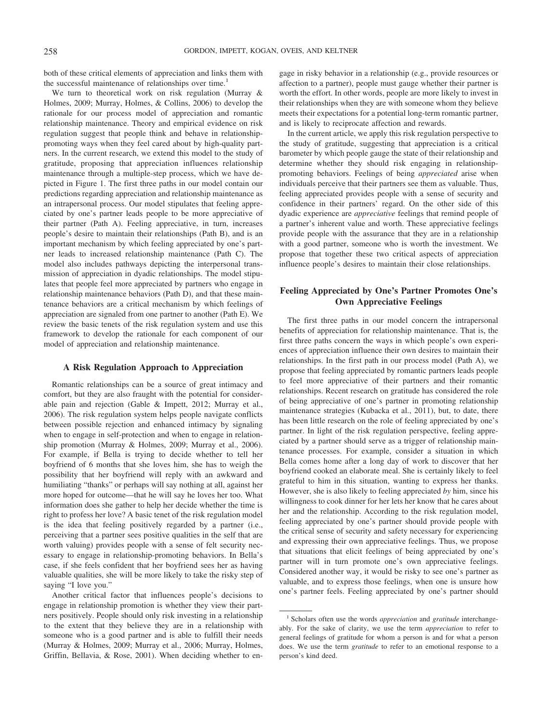both of these critical elements of appreciation and links them with the successful maintenance of relationships over time.<sup>1</sup>

We turn to theoretical work on risk regulation (Murray & Holmes, 2009; Murray, Holmes, & Collins, 2006) to develop the rationale for our process model of appreciation and romantic relationship maintenance. Theory and empirical evidence on risk regulation suggest that people think and behave in relationshippromoting ways when they feel cared about by high-quality partners. In the current research, we extend this model to the study of gratitude, proposing that appreciation influences relationship maintenance through a multiple-step process, which we have depicted in Figure 1. The first three paths in our model contain our predictions regarding appreciation and relationship maintenance as an intrapersonal process. Our model stipulates that feeling appreciated by one's partner leads people to be more appreciative of their partner (Path A). Feeling appreciative, in turn, increases people's desire to maintain their relationships (Path B), and is an important mechanism by which feeling appreciated by one's partner leads to increased relationship maintenance (Path C). The model also includes pathways depicting the interpersonal transmission of appreciation in dyadic relationships. The model stipulates that people feel more appreciated by partners who engage in relationship maintenance behaviors (Path D), and that these maintenance behaviors are a critical mechanism by which feelings of appreciation are signaled from one partner to another (Path E). We review the basic tenets of the risk regulation system and use this framework to develop the rationale for each component of our model of appreciation and relationship maintenance.

#### **A Risk Regulation Approach to Appreciation**

Romantic relationships can be a source of great intimacy and comfort, but they are also fraught with the potential for considerable pain and rejection (Gable & Impett, 2012; Murray et al., 2006). The risk regulation system helps people navigate conflicts between possible rejection and enhanced intimacy by signaling when to engage in self-protection and when to engage in relationship promotion (Murray & Holmes, 2009; Murray et al., 2006). For example, if Bella is trying to decide whether to tell her boyfriend of 6 months that she loves him, she has to weigh the possibility that her boyfriend will reply with an awkward and humiliating "thanks" or perhaps will say nothing at all, against her more hoped for outcome—that he will say he loves her too. What information does she gather to help her decide whether the time is right to profess her love? A basic tenet of the risk regulation model is the idea that feeling positively regarded by a partner (i.e., perceiving that a partner sees positive qualities in the self that are worth valuing) provides people with a sense of felt security necessary to engage in relationship-promoting behaviors. In Bella's case, if she feels confident that her boyfriend sees her as having valuable qualities, she will be more likely to take the risky step of saying "I love you."

Another critical factor that influences people's decisions to engage in relationship promotion is whether they view their partners positively. People should only risk investing in a relationship to the extent that they believe they are in a relationship with someone who is a good partner and is able to fulfill their needs (Murray & Holmes, 2009; Murray et al., 2006; Murray, Holmes, Griffin, Bellavia, & Rose, 2001). When deciding whether to en-

gage in risky behavior in a relationship (e.g., provide resources or affection to a partner), people must gauge whether their partner is worth the effort. In other words, people are more likely to invest in their relationships when they are with someone whom they believe meets their expectations for a potential long-term romantic partner, and is likely to reciprocate affection and rewards.

In the current article, we apply this risk regulation perspective to the study of gratitude, suggesting that appreciation is a critical barometer by which people gauge the state of their relationship and determine whether they should risk engaging in relationshippromoting behaviors. Feelings of being *appreciated* arise when individuals perceive that their partners see them as valuable. Thus, feeling appreciated provides people with a sense of security and confidence in their partners' regard. On the other side of this dyadic experience are *appreciative* feelings that remind people of a partner's inherent value and worth. These appreciative feelings provide people with the assurance that they are in a relationship with a good partner, someone who is worth the investment. We propose that together these two critical aspects of appreciation influence people's desires to maintain their close relationships.

# **Feeling Appreciated by One's Partner Promotes One's Own Appreciative Feelings**

The first three paths in our model concern the intrapersonal benefits of appreciation for relationship maintenance. That is, the first three paths concern the ways in which people's own experiences of appreciation influence their own desires to maintain their relationships. In the first path in our process model (Path A), we propose that feeling appreciated by romantic partners leads people to feel more appreciative of their partners and their romantic relationships. Recent research on gratitude has considered the role of being appreciative of one's partner in promoting relationship maintenance strategies (Kubacka et al., 2011), but, to date, there has been little research on the role of feeling appreciated by one's partner. In light of the risk regulation perspective, feeling appreciated by a partner should serve as a trigger of relationship maintenance processes. For example, consider a situation in which Bella comes home after a long day of work to discover that her boyfriend cooked an elaborate meal. She is certainly likely to feel grateful to him in this situation, wanting to express her thanks. However, she is also likely to feeling appreciated *by* him, since his willingness to cook dinner for her lets her know that he cares about her and the relationship. According to the risk regulation model, feeling appreciated by one's partner should provide people with the critical sense of security and safety necessary for experiencing and expressing their own appreciative feelings. Thus, we propose that situations that elicit feelings of being appreciated by one's partner will in turn promote one's own appreciative feelings. Considered another way, it would be risky to see one's partner as valuable, and to express those feelings, when one is unsure how one's partner feels. Feeling appreciated by one's partner should

<sup>1</sup> Scholars often use the words *appreciation* and *gratitude* interchangeably. For the sake of clarity, we use the term *appreciation* to refer to general feelings of gratitude for whom a person is and for what a person does. We use the term *gratitude* to refer to an emotional response to a person's kind deed.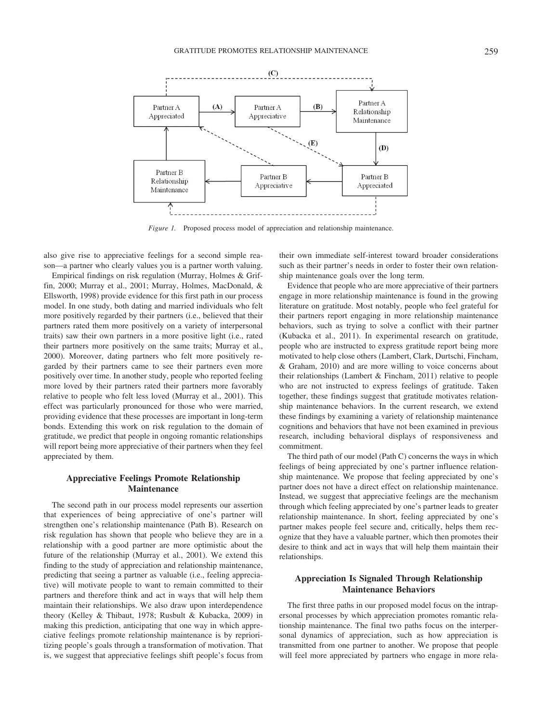

*Figure 1.* Proposed process model of appreciation and relationship maintenance.

also give rise to appreciative feelings for a second simple reason—a partner who clearly values you is a partner worth valuing.

Empirical findings on risk regulation (Murray, Holmes & Griffin, 2000; Murray et al., 2001; Murray, Holmes, MacDonald, & Ellsworth, 1998) provide evidence for this first path in our process model. In one study, both dating and married individuals who felt more positively regarded by their partners (i.e., believed that their partners rated them more positively on a variety of interpersonal traits) saw their own partners in a more positive light (i.e., rated their partners more positively on the same traits; Murray et al., 2000). Moreover, dating partners who felt more positively regarded by their partners came to see their partners even more positively over time. In another study, people who reported feeling more loved by their partners rated their partners more favorably relative to people who felt less loved (Murray et al., 2001). This effect was particularly pronounced for those who were married, providing evidence that these processes are important in long-term bonds. Extending this work on risk regulation to the domain of gratitude, we predict that people in ongoing romantic relationships will report being more appreciative of their partners when they feel appreciated by them.

# **Appreciative Feelings Promote Relationship Maintenance**

The second path in our process model represents our assertion that experiences of being appreciative of one's partner will strengthen one's relationship maintenance (Path B). Research on risk regulation has shown that people who believe they are in a relationship with a good partner are more optimistic about the future of the relationship (Murray et al., 2001). We extend this finding to the study of appreciation and relationship maintenance, predicting that seeing a partner as valuable (i.e., feeling appreciative) will motivate people to want to remain committed to their partners and therefore think and act in ways that will help them maintain their relationships. We also draw upon interdependence theory (Kelley & Thibaut, 1978; Rusbult & Kubacka, 2009) in making this prediction, anticipating that one way in which appreciative feelings promote relationship maintenance is by reprioritizing people's goals through a transformation of motivation. That is, we suggest that appreciative feelings shift people's focus from

their own immediate self-interest toward broader considerations such as their partner's needs in order to foster their own relationship maintenance goals over the long term.

Evidence that people who are more appreciative of their partners engage in more relationship maintenance is found in the growing literature on gratitude. Most notably, people who feel grateful for their partners report engaging in more relationship maintenance behaviors, such as trying to solve a conflict with their partner (Kubacka et al., 2011). In experimental research on gratitude, people who are instructed to express gratitude report being more motivated to help close others (Lambert, Clark, Durtschi, Fincham, & Graham, 2010) and are more willing to voice concerns about their relationships (Lambert & Fincham, 2011) relative to people who are not instructed to express feelings of gratitude. Taken together, these findings suggest that gratitude motivates relationship maintenance behaviors. In the current research, we extend these findings by examining a variety of relationship maintenance cognitions and behaviors that have not been examined in previous research, including behavioral displays of responsiveness and commitment.

The third path of our model (Path C) concerns the ways in which feelings of being appreciated by one's partner influence relationship maintenance. We propose that feeling appreciated by one's partner does not have a direct effect on relationship maintenance. Instead, we suggest that appreciative feelings are the mechanism through which feeling appreciated by one's partner leads to greater relationship maintenance. In short, feeling appreciated by one's partner makes people feel secure and, critically, helps them recognize that they have a valuable partner, which then promotes their desire to think and act in ways that will help them maintain their relationships.

# **Appreciation Is Signaled Through Relationship Maintenance Behaviors**

The first three paths in our proposed model focus on the intrapersonal processes by which appreciation promotes romantic relationship maintenance. The final two paths focus on the interpersonal dynamics of appreciation, such as how appreciation is transmitted from one partner to another. We propose that people will feel more appreciated by partners who engage in more rela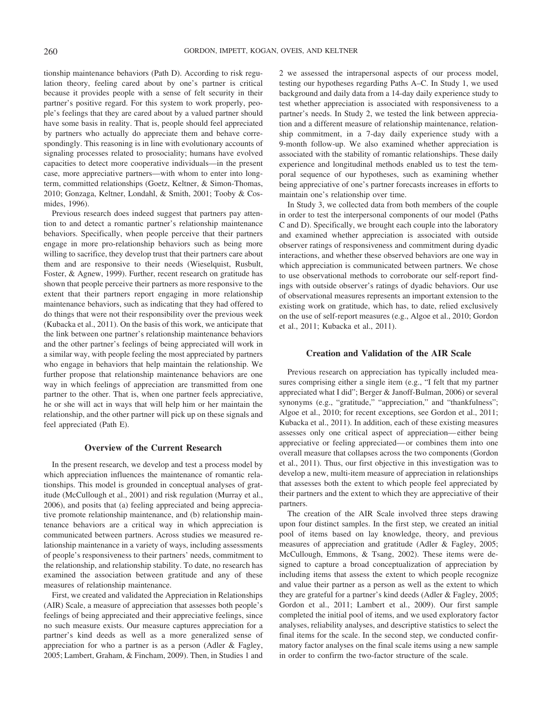tionship maintenance behaviors (Path D). According to risk regulation theory, feeling cared about by one's partner is critical because it provides people with a sense of felt security in their partner's positive regard. For this system to work properly, people's feelings that they are cared about by a valued partner should have some basis in reality. That is, people should feel appreciated by partners who actually do appreciate them and behave correspondingly. This reasoning is in line with evolutionary accounts of signaling processes related to prosociality; humans have evolved capacities to detect more cooperative individuals—in the present case, more appreciative partners—with whom to enter into longterm, committed relationships (Goetz, Keltner, & Simon-Thomas, 2010; Gonzaga, Keltner, Londahl, & Smith, 2001; Tooby & Cosmides, 1996).

Previous research does indeed suggest that partners pay attention to and detect a romantic partner's relationship maintenance behaviors. Specifically, when people perceive that their partners engage in more pro-relationship behaviors such as being more willing to sacrifice, they develop trust that their partners care about them and are responsive to their needs (Wieselquist, Rusbult, Foster, & Agnew, 1999). Further, recent research on gratitude has shown that people perceive their partners as more responsive to the extent that their partners report engaging in more relationship maintenance behaviors, such as indicating that they had offered to do things that were not their responsibility over the previous week (Kubacka et al., 2011). On the basis of this work, we anticipate that the link between one partner's relationship maintenance behaviors and the other partner's feelings of being appreciated will work in a similar way, with people feeling the most appreciated by partners who engage in behaviors that help maintain the relationship. We further propose that relationship maintenance behaviors are one way in which feelings of appreciation are transmitted from one partner to the other. That is, when one partner feels appreciative, he or she will act in ways that will help him or her maintain the relationship, and the other partner will pick up on these signals and feel appreciated (Path E).

#### **Overview of the Current Research**

In the present research, we develop and test a process model by which appreciation influences the maintenance of romantic relationships. This model is grounded in conceptual analyses of gratitude (McCullough et al., 2001) and risk regulation (Murray et al., 2006), and posits that (a) feeling appreciated and being appreciative promote relationship maintenance, and (b) relationship maintenance behaviors are a critical way in which appreciation is communicated between partners. Across studies we measured relationship maintenance in a variety of ways, including assessments of people's responsiveness to their partners' needs, commitment to the relationship, and relationship stability. To date, no research has examined the association between gratitude and any of these measures of relationship maintenance.

First, we created and validated the Appreciation in Relationships (AIR) Scale, a measure of appreciation that assesses both people's feelings of being appreciated and their appreciative feelings, since no such measure exists. Our measure captures appreciation for a partner's kind deeds as well as a more generalized sense of appreciation for who a partner is as a person (Adler & Fagley, 2005; Lambert, Graham, & Fincham, 2009). Then, in Studies 1 and 2 we assessed the intrapersonal aspects of our process model, testing our hypotheses regarding Paths A–C. In Study 1, we used background and daily data from a 14-day daily experience study to test whether appreciation is associated with responsiveness to a partner's needs. In Study 2, we tested the link between appreciation and a different measure of relationship maintenance, relationship commitment, in a 7-day daily experience study with a 9-month follow-up. We also examined whether appreciation is associated with the stability of romantic relationships. These daily experience and longitudinal methods enabled us to test the temporal sequence of our hypotheses, such as examining whether being appreciative of one's partner forecasts increases in efforts to maintain one's relationship over time.

In Study 3, we collected data from both members of the couple in order to test the interpersonal components of our model (Paths C and D). Specifically, we brought each couple into the laboratory and examined whether appreciation is associated with outside observer ratings of responsiveness and commitment during dyadic interactions, and whether these observed behaviors are one way in which appreciation is communicated between partners. We chose to use observational methods to corroborate our self-report findings with outside observer's ratings of dyadic behaviors. Our use of observational measures represents an important extension to the existing work on gratitude, which has, to date, relied exclusively on the use of self-report measures (e.g., Algoe et al., 2010; Gordon et al., 2011; Kubacka et al., 2011).

# **Creation and Validation of the AIR Scale**

Previous research on appreciation has typically included measures comprising either a single item (e.g., "I felt that my partner appreciated what I did"; Berger & Janoff-Bulman, 2006) or several synonyms (e.g., "gratitude," "appreciation," and "thankfulness"; Algoe et al., 2010; for recent exceptions, see Gordon et al., 2011; Kubacka et al., 2011). In addition, each of these existing measures assesses only one critical aspect of appreciation— either being appreciative or feeling appreciated— or combines them into one overall measure that collapses across the two components (Gordon et al., 2011). Thus, our first objective in this investigation was to develop a new, multi-item measure of appreciation in relationships that assesses both the extent to which people feel appreciated by their partners and the extent to which they are appreciative of their partners.

The creation of the AIR Scale involved three steps drawing upon four distinct samples. In the first step, we created an initial pool of items based on lay knowledge, theory, and previous measures of appreciation and gratitude (Adler & Fagley, 2005; McCullough, Emmons, & Tsang, 2002). These items were designed to capture a broad conceptualization of appreciation by including items that assess the extent to which people recognize and value their partner as a person as well as the extent to which they are grateful for a partner's kind deeds (Adler & Fagley, 2005; Gordon et al., 2011; Lambert et al., 2009). Our first sample completed the initial pool of items, and we used exploratory factor analyses, reliability analyses, and descriptive statistics to select the final items for the scale. In the second step, we conducted confirmatory factor analyses on the final scale items using a new sample in order to confirm the two-factor structure of the scale.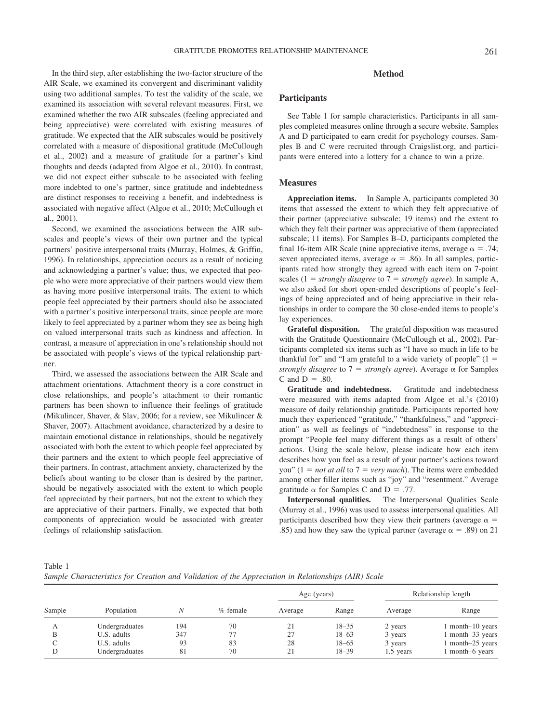In the third step, after establishing the two-factor structure of the AIR Scale, we examined its convergent and discriminant validity using two additional samples. To test the validity of the scale, we examined its association with several relevant measures. First, we examined whether the two AIR subscales (feeling appreciated and being appreciative) were correlated with existing measures of gratitude. We expected that the AIR subscales would be positively correlated with a measure of dispositional gratitude (McCullough et al., 2002) and a measure of gratitude for a partner's kind thoughts and deeds (adapted from Algoe et al., 2010). In contrast, we did not expect either subscale to be associated with feeling more indebted to one's partner, since gratitude and indebtedness are distinct responses to receiving a benefit, and indebtedness is associated with negative affect (Algoe et al., 2010; McCullough et al., 2001).

Second, we examined the associations between the AIR subscales and people's views of their own partner and the typical partners' positive interpersonal traits (Murray, Holmes, & Griffin, 1996). In relationships, appreciation occurs as a result of noticing and acknowledging a partner's value; thus, we expected that people who were more appreciative of their partners would view them as having more positive interpersonal traits. The extent to which people feel appreciated by their partners should also be associated with a partner's positive interpersonal traits, since people are more likely to feel appreciated by a partner whom they see as being high on valued interpersonal traits such as kindness and affection. In contrast, a measure of appreciation in one's relationship should not be associated with people's views of the typical relationship partner.

Third, we assessed the associations between the AIR Scale and attachment orientations. Attachment theory is a core construct in close relationships, and people's attachment to their romantic partners has been shown to influence their feelings of gratitude (Mikulincer, Shaver, & Slav, 2006; for a review, see Mikulincer & Shaver, 2007). Attachment avoidance, characterized by a desire to maintain emotional distance in relationships, should be negatively associated with both the extent to which people feel appreciated by their partners and the extent to which people feel appreciative of their partners. In contrast, attachment anxiety, characterized by the beliefs about wanting to be closer than is desired by the partner, should be negatively associated with the extent to which people feel appreciated by their partners, but not the extent to which they are appreciative of their partners. Finally, we expected that both components of appreciation would be associated with greater feelings of relationship satisfaction.

# **Method**

#### **Participants**

See Table 1 for sample characteristics. Participants in all samples completed measures online through a secure website. Samples A and D participated to earn credit for psychology courses. Samples B and C were recruited through Craigslist.org, and participants were entered into a lottery for a chance to win a prize.

#### **Measures**

**Appreciation items.** In Sample A, participants completed 30 items that assessed the extent to which they felt appreciative of their partner (appreciative subscale; 19 items) and the extent to which they felt their partner was appreciative of them (appreciated subscale; 11 items). For Samples B–D, participants completed the final 16-item AIR Scale (nine appreciative items, average  $\alpha = .74$ ; seven appreciated items, average  $\alpha = .86$ ). In all samples, participants rated how strongly they agreed with each item on 7-point scales  $(1 = \text{strongly disagree to } 7 = \text{strongly agree}).$  In sample A, we also asked for short open-ended descriptions of people's feelings of being appreciated and of being appreciative in their relationships in order to compare the 30 close-ended items to people's lay experiences.

**Grateful disposition.** The grateful disposition was measured with the Gratitude Questionnaire (McCullough et al., 2002). Participants completed six items such as "I have so much in life to be thankful for" and "I am grateful to a wide variety of people"  $(1 =$ *strongly disagree* to  $7 =$  *strongly agree*). Average  $\alpha$  for Samples C and  $D = .80$ .

**Gratitude and indebtedness.** Gratitude and indebtedness were measured with items adapted from Algoe et al.'s (2010) measure of daily relationship gratitude. Participants reported how much they experienced "gratitude," "thankfulness," and "appreciation" as well as feelings of "indebtedness" in response to the prompt "People feel many different things as a result of others' actions. Using the scale below, please indicate how each item describes how you feel as a result of your partner's actions toward you"  $(1 = not at all to 7 = very much)$ . The items were embedded among other filler items such as "joy" and "resentment." Average gratitude  $\alpha$  for Samples C and D = .77.

**Interpersonal qualities.** The Interpersonal Qualities Scale (Murray et al., 1996) was used to assess interpersonal qualities. All participants described how they view their partners (average  $\alpha$  = .85) and how they saw the typical partner (average  $\alpha = .89$ ) on 21

Table 1

*Sample Characteristics for Creation and Validation of the Appreciation in Relationships (AIR) Scale*

| Sample | Population     |     | $%$ female | Age (years) |           | Relationship length |                  |  |
|--------|----------------|-----|------------|-------------|-----------|---------------------|------------------|--|
|        |                |     |            | Average     | Range     | Average             | Range            |  |
|        | Undergraduates | 194 | 70         | 21          | $18 - 35$ | 2 years             | 1 month-10 years |  |
| B      | U.S. adults    | 347 |            | 27          | $18 - 63$ | 3 years             | 1 month-33 years |  |
|        | U.S. adults    | 93  | 83         | 28          | $18 - 65$ | 3 years             | 1 month–25 years |  |
|        | Undergraduates | 81  | 70         | 21          | $18 - 39$ | 1.5 years           | 1 month–6 years  |  |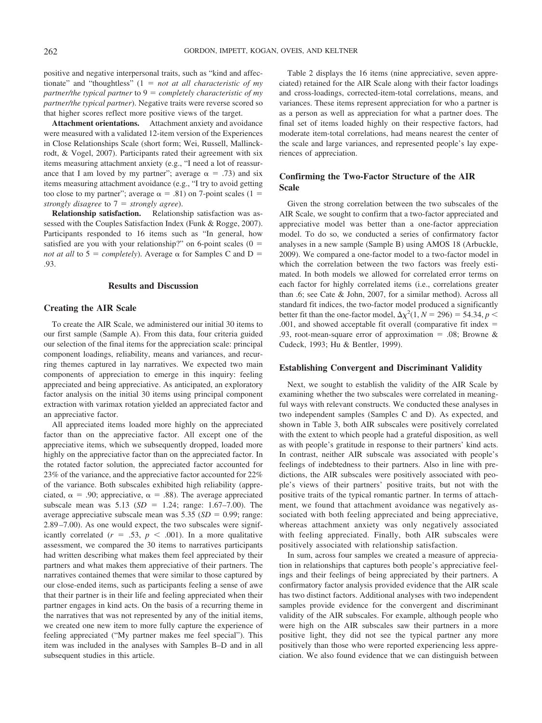positive and negative interpersonal traits, such as "kind and affectionate" and "thoughtless"  $(1 = not at all characteristic of my)$ partner/the typical partner to  $9 =$  completely characteristic of my *partner/the typical partner*). Negative traits were reverse scored so that higher scores reflect more positive views of the target.

**Attachment orientations.** Attachment anxiety and avoidance were measured with a validated 12-item version of the Experiences in Close Relationships Scale (short form; Wei, Russell, Mallinckrodt, & Vogel, 2007). Participants rated their agreement with six items measuring attachment anxiety (e.g., "I need a lot of reassurance that I am loved by my partner"; average  $\alpha = .73$ ) and six items measuring attachment avoidance (e.g., "I try to avoid getting too close to my partner"; average  $\alpha = .81$ ) on 7-point scales (1 = *strongly disagree* to 7 - *strongly agree*).

**Relationship satisfaction.** Relationship satisfaction was assessed with the Couples Satisfaction Index (Funk & Rogge, 2007). Participants responded to 16 items such as "In general, how satisfied are you with your relationship?" on 6-point scales  $(0 =$ *not at all* to  $5 = completely$ . Average  $\alpha$  for Samples C and D = .93.

### **Results and Discussion**

#### **Creating the AIR Scale**

To create the AIR Scale, we administered our initial 30 items to our first sample (Sample A). From this data, four criteria guided our selection of the final items for the appreciation scale: principal component loadings, reliability, means and variances, and recurring themes captured in lay narratives. We expected two main components of appreciation to emerge in this inquiry: feeling appreciated and being appreciative. As anticipated, an exploratory factor analysis on the initial 30 items using principal component extraction with varimax rotation yielded an appreciated factor and an appreciative factor.

All appreciated items loaded more highly on the appreciated factor than on the appreciative factor. All except one of the appreciative items, which we subsequently dropped, loaded more highly on the appreciative factor than on the appreciated factor. In the rotated factor solution, the appreciated factor accounted for 23% of the variance, and the appreciative factor accounted for 22% of the variance. Both subscales exhibited high reliability (appreciated,  $\alpha = .90$ ; appreciative,  $\alpha = .88$ ). The average appreciated subscale mean was  $5.13$  (*SD* = 1.24; range: 1.67–7.00). The average appreciative subscale mean was  $5.35$  ( $SD = 0.99$ ; range: 2.89 –7.00). As one would expect, the two subscales were significantly correlated  $(r = .53, p < .001)$ . In a more qualitative assessment, we compared the 30 items to narratives participants had written describing what makes them feel appreciated by their partners and what makes them appreciative of their partners. The narratives contained themes that were similar to those captured by our close-ended items, such as participants feeling a sense of awe that their partner is in their life and feeling appreciated when their partner engages in kind acts. On the basis of a recurring theme in the narratives that was not represented by any of the initial items, we created one new item to more fully capture the experience of feeling appreciated ("My partner makes me feel special"). This item was included in the analyses with Samples B–D and in all subsequent studies in this article.

Table 2 displays the 16 items (nine appreciative, seven appreciated) retained for the AIR Scale along with their factor loadings and cross-loadings, corrected-item-total correlations, means, and variances. These items represent appreciation for who a partner is as a person as well as appreciation for what a partner does. The final set of items loaded highly on their respective factors, had moderate item-total correlations, had means nearest the center of the scale and large variances, and represented people's lay experiences of appreciation.

# **Confirming the Two-Factor Structure of the AIR Scale**

Given the strong correlation between the two subscales of the AIR Scale, we sought to confirm that a two-factor appreciated and appreciative model was better than a one-factor appreciation model. To do so, we conducted a series of confirmatory factor analyses in a new sample (Sample B) using AMOS 18 (Arbuckle, 2009). We compared a one-factor model to a two-factor model in which the correlation between the two factors was freely estimated. In both models we allowed for correlated error terms on each factor for highly correlated items (i.e., correlations greater than .6; see Cate & John, 2007, for a similar method). Across all standard fit indices, the two-factor model produced a significantly better fit than the one-factor model,  $\Delta \chi^2(1, N = 296) = 54.34, p <$ .001, and showed acceptable fit overall (comparative fit index  $=$ .93, root-mean-square error of approximation = .08; Browne & Cudeck, 1993; Hu & Bentler, 1999).

#### **Establishing Convergent and Discriminant Validity**

Next, we sought to establish the validity of the AIR Scale by examining whether the two subscales were correlated in meaningful ways with relevant constructs. We conducted these analyses in two independent samples (Samples C and D). As expected, and shown in Table 3, both AIR subscales were positively correlated with the extent to which people had a grateful disposition, as well as with people's gratitude in response to their partners' kind acts. In contrast, neither AIR subscale was associated with people's feelings of indebtedness to their partners. Also in line with predictions, the AIR subscales were positively associated with people's views of their partners' positive traits, but not with the positive traits of the typical romantic partner. In terms of attachment, we found that attachment avoidance was negatively associated with both feeling appreciated and being appreciative, whereas attachment anxiety was only negatively associated with feeling appreciated. Finally, both AIR subscales were positively associated with relationship satisfaction.

In sum, across four samples we created a measure of appreciation in relationships that captures both people's appreciative feelings and their feelings of being appreciated by their partners. A confirmatory factor analysis provided evidence that the AIR scale has two distinct factors. Additional analyses with two independent samples provide evidence for the convergent and discriminant validity of the AIR subscales. For example, although people who were high on the AIR subscales saw their partners in a more positive light, they did not see the typical partner any more positively than those who were reported experiencing less appreciation. We also found evidence that we can distinguish between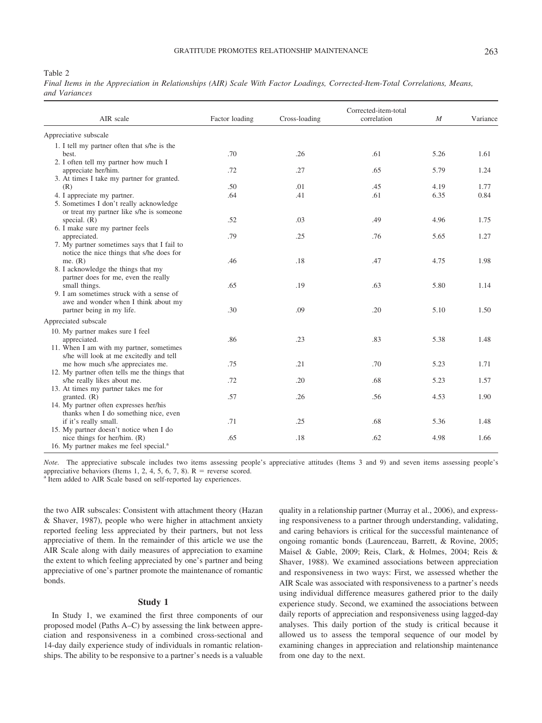#### Table 2

*Final Items in the Appreciation in Relationships (AIR) Scale With Factor Loadings, Corrected-Item-Total Correlations, Means, and Variances*

| AIR scale                                                                                                                               | Factor loading | Cross-loading | Corrected-item-total<br>correlation | M    | Variance |
|-----------------------------------------------------------------------------------------------------------------------------------------|----------------|---------------|-------------------------------------|------|----------|
| Appreciative subscale                                                                                                                   |                |               |                                     |      |          |
| 1. I tell my partner often that s/he is the<br>best.                                                                                    | .70            | .26           | .61                                 | 5.26 | 1.61     |
| 2. I often tell my partner how much I<br>appreciate her/him.<br>3. At times I take my partner for granted.                              | .72            | .27           | .65                                 | 5.79 | 1.24     |
| (R)                                                                                                                                     | .50            | .01           | .45                                 | 4.19 | 1.77     |
| 4. I appreciate my partner.                                                                                                             | .64            | .41           | .61                                 | 6.35 | 0.84     |
| 5. Sometimes I don't really acknowledge<br>or treat my partner like s/he is someone                                                     |                |               |                                     |      |          |
| special. $(R)$<br>6. I make sure my partner feels                                                                                       | .52            | .03           | .49                                 | 4.96 | 1.75     |
| appreciated.<br>7. My partner sometimes says that I fail to<br>notice the nice things that s/he does for                                | .79            | .25           | .76                                 | 5.65 | 1.27     |
| me. $(R)$<br>8. I acknowledge the things that my<br>partner does for me, even the really                                                | .46            | .18           | .47                                 | 4.75 | 1.98     |
| small things.<br>9. I am sometimes struck with a sense of<br>awe and wonder when I think about my                                       | .65            | .19           | .63                                 | 5.80 | 1.14     |
| partner being in my life.                                                                                                               | .30            | .09           | .20                                 | 5.10 | 1.50     |
| Appreciated subscale                                                                                                                    |                |               |                                     |      |          |
| 10. My partner makes sure I feel<br>appreciated.<br>11. When I am with my partner, sometimes<br>s/he will look at me excitedly and tell | .86            | .23           | .83                                 | 5.38 | 1.48     |
| me how much s/he appreciates me.<br>12. My partner often tells me the things that                                                       | .75            | .21           | .70                                 | 5.23 | 1.71     |
| s/he really likes about me.<br>13. At times my partner takes me for                                                                     | .72            | .20           | .68                                 | 5.23 | 1.57     |
| granted. $(R)$<br>14. My partner often expresses her/his<br>thanks when I do something nice, even                                       | .57            | .26           | .56                                 | 4.53 | 1.90     |
| if it's really small.<br>15. My partner doesn't notice when I do                                                                        | .71            | .25           | .68                                 | 5.36 | 1.48     |
| nice things for her/him. (R)<br>16. My partner makes me feel special. <sup>a</sup>                                                      | .65            | .18           | .62                                 | 4.98 | 1.66     |

*Note.* The appreciative subscale includes two items assessing people's appreciative attitudes (Items 3 and 9) and seven items assessing people's appreciative behaviors (Items 1, 2, 4, 5, 6, 7, 8).  $R$  = reverse scored.

<sup>a</sup> Item added to AIR Scale based on self-reported lay experiences.

the two AIR subscales: Consistent with attachment theory (Hazan & Shaver, 1987), people who were higher in attachment anxiety reported feeling less appreciated by their partners, but not less appreciative of them. In the remainder of this article we use the AIR Scale along with daily measures of appreciation to examine the extent to which feeling appreciated by one's partner and being appreciative of one's partner promote the maintenance of romantic bonds.

## **Study 1**

In Study 1, we examined the first three components of our proposed model (Paths A–C) by assessing the link between appreciation and responsiveness in a combined cross-sectional and 14-day daily experience study of individuals in romantic relationships. The ability to be responsive to a partner's needs is a valuable

quality in a relationship partner (Murray et al., 2006), and expressing responsiveness to a partner through understanding, validating, and caring behaviors is critical for the successful maintenance of ongoing romantic bonds (Laurenceau, Barrett, & Rovine, 2005; Maisel & Gable, 2009; Reis, Clark, & Holmes, 2004; Reis & Shaver, 1988). We examined associations between appreciation and responsiveness in two ways: First, we assessed whether the AIR Scale was associated with responsiveness to a partner's needs using individual difference measures gathered prior to the daily experience study. Second, we examined the associations between daily reports of appreciation and responsiveness using lagged-day analyses. This daily portion of the study is critical because it allowed us to assess the temporal sequence of our model by examining changes in appreciation and relationship maintenance from one day to the next.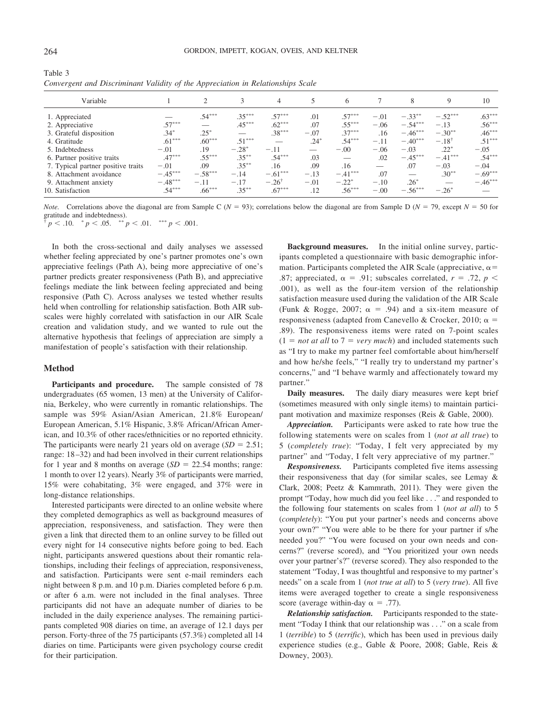Table 3

| Variable                           |           | $\mathcal{D}$ |          | $\overline{4}$   | 5      | 6         |        | 8         | 9                | 10        |
|------------------------------------|-----------|---------------|----------|------------------|--------|-----------|--------|-----------|------------------|-----------|
| 1. Appreciated                     |           | $.54***$      | $.35***$ | $.57***$         | .01    | $.57***$  | $-.01$ | $-.33***$ | $-.52***$        | $.63***$  |
| 2. Appreciative                    | $.57***$  | __            | $.45***$ | $.62***$         | .07    | $.55***$  | $-.06$ | $-.54***$ | $-.13$           | $.56***$  |
| 3. Grateful disposition            | $.34*$    | $.25*$        |          | $.38***$         | $-.07$ | $.37***$  | .16    | $-.46***$ | $-.30**$         | $.46***$  |
| 4. Gratitude                       | $.61***$  | $.60***$      | $.51***$ |                  | $.24*$ | $.54***$  | $-.11$ | $-.40***$ | $-.18^{\dagger}$ | $.51***$  |
| 5. Indebtedness                    | $-.01$    | .19           | $-.28*$  | $-.11$           |        | $-.00$    | $-.06$ | $-.03$    | $.22*$           | $-.05$    |
| 6. Partner positive traits         | $.47***$  | $.55***$      | $.35***$ | $.54***$         | .03    |           | .02    | $-.45***$ | $-.41***$        | $.54***$  |
| 7. Typical partner positive traits | $-.01$    | .09           | $.35***$ | .16              | .09    | .16       |        | .07       | $-.03$           | $-.04$    |
| 8. Attachment avoidance            | $-.45***$ | $-.58***$     | $-.14$   | $-.61***$        | $-.13$ | $-.41***$ | .07    |           | $.30***$         | $-.69***$ |
| 9. Attachment anxiety              | $-.48***$ | $-.11$        | $-.17$   | $-.26^{\dagger}$ | $-.01$ | $-.22*$   | $-.10$ | $.26*$    |                  | $-.46***$ |
| 10. Satisfaction                   | $.54***$  | $.66***$      | $.35***$ | $.67***$         | .12    | $.56***$  | $-.00$ | $-.56***$ | $-.26*$          |           |
|                                    |           |               |          |                  |        |           |        |           |                  |           |

*Convergent and Discriminant Validity of the Appreciation in Relationships Scale*

*Note.* Correlations above the diagonal are from Sample C ( $N = 93$ ); correlations below the diagonal are from Sample D ( $N = 79$ , except  $N = 50$  for gratitude and indebtedness).

 $p < .10.$   $p < .05.$   $p < .01.$   $p < .001.$ 

In both the cross-sectional and daily analyses we assessed whether feeling appreciated by one's partner promotes one's own appreciative feelings (Path A), being more appreciative of one's partner predicts greater responsiveness (Path B), and appreciative feelings mediate the link between feeling appreciated and being responsive (Path C). Across analyses we tested whether results held when controlling for relationship satisfaction. Both AIR subscales were highly correlated with satisfaction in our AIR Scale creation and validation study, and we wanted to rule out the alternative hypothesis that feelings of appreciation are simply a manifestation of people's satisfaction with their relationship.

## **Method**

Participants and procedure. The sample consisted of 78 undergraduates (65 women, 13 men) at the University of California, Berkeley, who were currently in romantic relationships. The sample was 59% Asian/Asian American, 21.8% European/ European American, 5.1% Hispanic, 3.8% African/African American, and 10.3% of other races/ethnicities or no reported ethnicity. The participants were nearly 21 years old on average  $(SD = 2.51;$ range: 18 –32) and had been involved in their current relationships for 1 year and 8 months on average  $(SD = 22.54$  months; range: 1 month to over 12 years). Nearly 3% of participants were married, 15% were cohabitating, 3% were engaged, and 37% were in long-distance relationships.

Interested participants were directed to an online website where they completed demographics as well as background measures of appreciation, responsiveness, and satisfaction. They were then given a link that directed them to an online survey to be filled out every night for 14 consecutive nights before going to bed. Each night, participants answered questions about their romantic relationships, including their feelings of appreciation, responsiveness, and satisfaction. Participants were sent e-mail reminders each night between 8 p.m. and 10 p.m. Diaries completed before 6 p.m. or after 6 a.m. were not included in the final analyses. Three participants did not have an adequate number of diaries to be included in the daily experience analyses. The remaining participants completed 908 diaries on time, an average of 12.1 days per person. Forty-three of the 75 participants (57.3%) completed all 14 diaries on time. Participants were given psychology course credit for their participation.

**Background measures.** In the initial online survey, participants completed a questionnaire with basic demographic information. Participants completed the AIR Scale (appreciative,  $\alpha$  = .87; appreciated,  $\alpha = .91$ ; subscales correlated,  $r = .72$ ,  $p <$ .001), as well as the four-item version of the relationship satisfaction measure used during the validation of the AIR Scale (Funk & Rogge, 2007;  $\alpha = .94$ ) and a six-item measure of responsiveness (adapted from Canevello & Crocker, 2010;  $\alpha$  = .89). The responsiveness items were rated on 7-point scales  $(1 = not at all to 7 = very much)$  and included statements such as "I try to make my partner feel comfortable about him/herself and how he/she feels," "I really try to understand my partner's concerns," and "I behave warmly and affectionately toward my partner."

**Daily measures.** The daily diary measures were kept brief (sometimes measured with only single items) to maintain participant motivation and maximize responses (Reis & Gable, 2000).

*Appreciation.* Participants were asked to rate how true the following statements were on scales from 1 (*not at all true*) to 5 (*completely true*): "Today, I felt very appreciated by my partner" and "Today, I felt very appreciative of my partner."

*Responsiveness.* Participants completed five items assessing their responsiveness that day (for similar scales, see Lemay & Clark, 2008; Peetz & Kammrath, 2011). They were given the prompt "Today, how much did you feel like . . ." and responded to the following four statements on scales from 1 (*not at all*) to 5 (*completely*): "You put your partner's needs and concerns above your own?" "You were able to be there for your partner if s/he needed you?" "You were focused on your own needs and concerns?" (reverse scored), and "You prioritized your own needs over your partner's?" (reverse scored). They also responded to the statement "Today, I was thoughtful and responsive to my partner's needs" on a scale from 1 (*not true at all*) to 5 (*very true*). All five items were averaged together to create a single responsiveness score (average within-day  $\alpha = .77$ ).

*Relationship satisfaction.* Participants responded to the statement "Today I think that our relationship was . . ." on a scale from 1 (*terrible*) to 5 (*terrific*), which has been used in previous daily experience studies (e.g., Gable & Poore, 2008; Gable, Reis & Downey, 2003).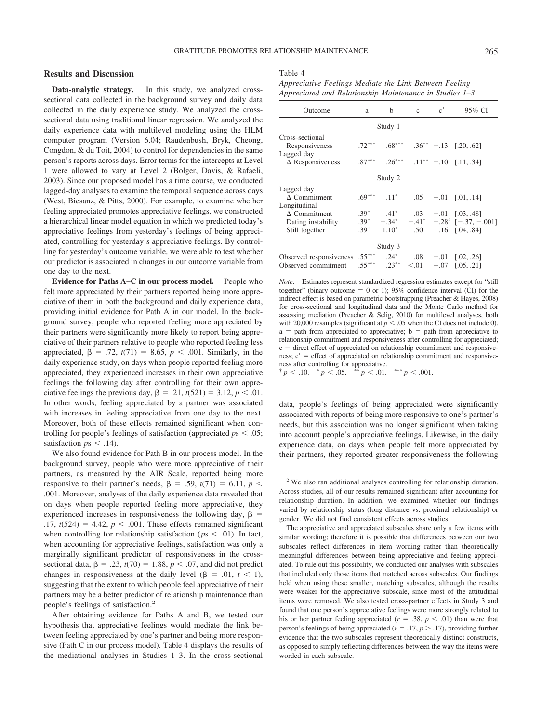## **Results and Discussion**

**Data-analytic strategy.** In this study, we analyzed crosssectional data collected in the background survey and daily data collected in the daily experience study. We analyzed the crosssectional data using traditional linear regression. We analyzed the daily experience data with multilevel modeling using the HLM computer program (Version 6.04; Raudenbush, Bryk, Cheong, Congdon, & du Toit, 2004) to control for dependencies in the same person's reports across days. Error terms for the intercepts at Level 1 were allowed to vary at Level 2 (Bolger, Davis, & Rafaeli, 2003). Since our proposed model has a time course, we conducted lagged-day analyses to examine the temporal sequence across days (West, Biesanz, & Pitts, 2000). For example, to examine whether feeling appreciated promotes appreciative feelings, we constructed a hierarchical linear model equation in which we predicted today's appreciative feelings from yesterday's feelings of being appreciated, controlling for yesterday's appreciative feelings. By controlling for yesterday's outcome variable, we were able to test whether our predictor is associated in changes in our outcome variable from one day to the next.

**Evidence for Paths A–C in our process model.** People who felt more appreciated by their partners reported being more appreciative of them in both the background and daily experience data, providing initial evidence for Path A in our model. In the background survey, people who reported feeling more appreciated by their partners were significantly more likely to report being appreciative of their partners relative to people who reported feeling less appreciated,  $\beta = .72$ ,  $t(71) = 8.65$ ,  $p < .001$ . Similarly, in the daily experience study, on days when people reported feeling more appreciated, they experienced increases in their own appreciative feelings the following day after controlling for their own appreciative feelings the previous day,  $\beta = .21$ ,  $t(521) = 3.12$ ,  $p < .01$ . In other words, feeling appreciated by a partner was associated with increases in feeling appreciative from one day to the next. Moreover, both of these effects remained significant when controlling for people's feelings of satisfaction (appreciated  $p_s < .05$ ; satisfaction  $ps < .14$ ).

We also found evidence for Path B in our process model. In the background survey, people who were more appreciative of their partners, as measured by the AIR Scale, reported being more responsive to their partner's needs,  $\beta = .59$ ,  $t(71) = 6.11$ ,  $p <$ .001. Moreover, analyses of the daily experience data revealed that on days when people reported feeling more appreciative, they experienced increases in responsiveness the following day,  $\beta$  =  $.17, t(524) = 4.42, p < .001$ . These effects remained significant when controlling for relationship satisfaction ( $p_s < .01$ ). In fact, when accounting for appreciative feelings, satisfaction was only a marginally significant predictor of responsiveness in the crosssectional data,  $\beta = .23$ ,  $t(70) = 1.88$ ,  $p < .07$ , and did not predict changes in responsiveness at the daily level  $(\beta = .01, t < 1)$ , suggesting that the extent to which people feel appreciative of their partners may be a better predictor of relationship maintenance than people's feelings of satisfaction.2

After obtaining evidence for Paths A and B, we tested our hypothesis that appreciative feelings would mediate the link between feeling appreciated by one's partner and being more responsive (Path C in our process model). Table 4 displays the results of the mediational analyses in Studies 1–3. In the cross-sectional

#### Table 4

*Appreciative Feelings Mediate the Link Between Feeling Appreciated and Relationship Maintenance in Studies 1–3*

| Outcome                                               | a        | b                  | $\mathbf{c}$ | $\mathbf{c}'$ | 95% CI                                                                         |  |  |  |
|-------------------------------------------------------|----------|--------------------|--------------|---------------|--------------------------------------------------------------------------------|--|--|--|
| Study 1                                               |          |                    |              |               |                                                                                |  |  |  |
| Cross-sectional<br>Responsiveness                     | $.72***$ | $.68***$           |              |               | $.36^{**}$ -.13 [.20, .62]                                                     |  |  |  |
| Lagged day<br>$\Delta$ Responsiveness                 | $.87***$ |                    |              |               | $.26***$ $.11***$ $-.10$ $[.11, .34]$                                          |  |  |  |
| Study 2                                               |          |                    |              |               |                                                                                |  |  |  |
| Lagged day<br>$\Delta$ Commitment                     | $.69***$ | $.11*$             |              |               | $.05 - .01$ [.01, .14]                                                         |  |  |  |
| Longitudinal<br>$\Delta$ Commitment                   |          | $.39^*$ $.41^*$    |              |               | $.03 - .01$ [.03, .48]                                                         |  |  |  |
| Dating instability<br>Still together                  |          | $.39^*$ $1.10^*$   |              |               | $.39^*$ $-.34^*$ $-.41^*$ $-.28^*$ $[-.37, -.001]$<br>$.50$ $.16$ $[.04, .84]$ |  |  |  |
| Study 3                                               |          |                    |              |               |                                                                                |  |  |  |
| Observed responsiveness .55***<br>Observed commitment | $.55***$ | $.24*$<br>$.23***$ |              |               | $.08 - .01$ [.02, .26]<br>$\leq 0.01 - 0.07$ [.0.5, .2.1]                      |  |  |  |

*Note.* Estimates represent standardized regression estimates except for "still together" (binary outcome  $= 0$  or 1); 95% confidence interval (CI) for the indirect effect is based on parametric bootstrapping (Preacher & Hayes, 2008) for cross-sectional and longitudinal data and the Monte Carlo method for assessing mediation (Preacher & Selig, 2010) for multilevel analyses, both with 20,000 resamples (significant at  $p < .05$  when the CI does not include 0).  $a =$  path from appreciated to appreciative;  $b =$  path from appreciative to relationship commitment and responsiveness after controlling for appreciated;  $c =$  direct effect of appreciated on relationship commitment and responsiveness;  $c'$  = effect of appreciated on relationship commitment and responsiveness after controlling for appreciative.

 $p < 0.10$ .  $p < 0.05$ .  $p \le 0.01$ .  $p \le 0.001$ .

data, people's feelings of being appreciated were significantly associated with reports of being more responsive to one's partner's needs, but this association was no longer significant when taking into account people's appreciative feelings. Likewise, in the daily experience data, on days when people felt more appreciated by their partners, they reported greater responsiveness the following

<sup>&</sup>lt;sup>2</sup> We also ran additional analyses controlling for relationship duration. Across studies, all of our results remained significant after accounting for relationship duration. In addition, we examined whether our findings varied by relationship status (long distance vs. proximal relationship) or gender. We did not find consistent effects across studies.

The appreciative and appreciated subscales share only a few items with similar wording; therefore it is possible that differences between our two subscales reflect differences in item wording rather than theoretically meaningful differences between being appreciative and feeling appreciated. To rule out this possibility, we conducted our analyses with subscales that included only those items that matched across subscales. Our findings held when using these smaller, matching subscales, although the results were weaker for the appreciative subscale, since most of the attitudinal items were removed. We also tested cross-partner effects in Study 3 and found that one person's appreciative feelings were more strongly related to his or her partner feeling appreciated  $(r = .38, p < .01)$  than were that person's feelings of being appreciated ( $r = .17$ ,  $p > .17$ ), providing further evidence that the two subscales represent theoretically distinct constructs, as opposed to simply reflecting differences between the way the items were worded in each subscale.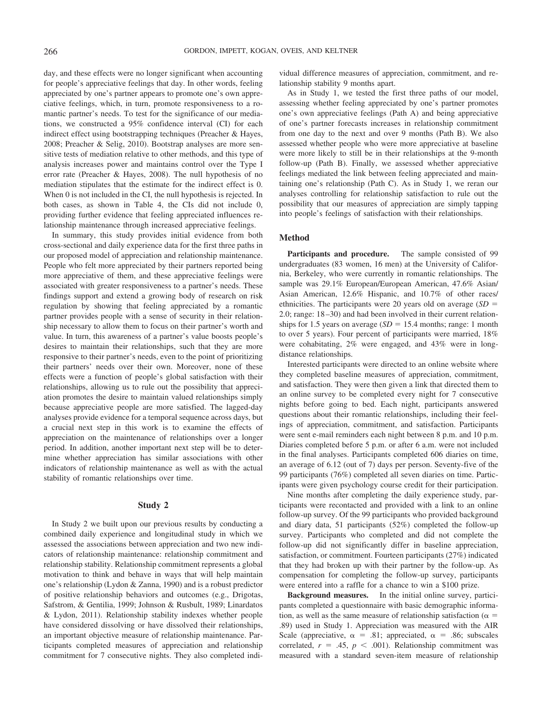day, and these effects were no longer significant when accounting for people's appreciative feelings that day. In other words, feeling appreciated by one's partner appears to promote one's own appreciative feelings, which, in turn, promote responsiveness to a romantic partner's needs. To test for the significance of our mediations, we constructed a 95% confidence interval (CI) for each indirect effect using bootstrapping techniques (Preacher & Hayes, 2008; Preacher & Selig, 2010). Bootstrap analyses are more sensitive tests of mediation relative to other methods, and this type of analysis increases power and maintains control over the Type I error rate (Preacher & Hayes, 2008). The null hypothesis of no mediation stipulates that the estimate for the indirect effect is 0. When 0 is not included in the CI, the null hypothesis is rejected. In both cases, as shown in Table 4, the CIs did not include 0, providing further evidence that feeling appreciated influences relationship maintenance through increased appreciative feelings.

In summary, this study provides initial evidence from both cross-sectional and daily experience data for the first three paths in our proposed model of appreciation and relationship maintenance. People who felt more appreciated by their partners reported being more appreciative of them, and these appreciative feelings were associated with greater responsiveness to a partner's needs. These findings support and extend a growing body of research on risk regulation by showing that feeling appreciated by a romantic partner provides people with a sense of security in their relationship necessary to allow them to focus on their partner's worth and value. In turn, this awareness of a partner's value boosts people's desires to maintain their relationships, such that they are more responsive to their partner's needs, even to the point of prioritizing their partners' needs over their own. Moreover, none of these effects were a function of people's global satisfaction with their relationships, allowing us to rule out the possibility that appreciation promotes the desire to maintain valued relationships simply because appreciative people are more satisfied. The lagged-day analyses provide evidence for a temporal sequence across days, but a crucial next step in this work is to examine the effects of appreciation on the maintenance of relationships over a longer period. In addition, another important next step will be to determine whether appreciation has similar associations with other indicators of relationship maintenance as well as with the actual stability of romantic relationships over time.

#### **Study 2**

In Study 2 we built upon our previous results by conducting a combined daily experience and longitudinal study in which we assessed the associations between appreciation and two new indicators of relationship maintenance: relationship commitment and relationship stability. Relationship commitment represents a global motivation to think and behave in ways that will help maintain one's relationship (Lydon & Zanna, 1990) and is a robust predictor of positive relationship behaviors and outcomes (e.g., Drigotas, Safstrom, & Gentilia, 1999; Johnson & Rusbult, 1989; Linardatos & Lydon, 2011). Relationship stability indexes whether people have considered dissolving or have dissolved their relationships, an important objective measure of relationship maintenance. Participants completed measures of appreciation and relationship commitment for 7 consecutive nights. They also completed indi-

vidual difference measures of appreciation, commitment, and relationship stability 9 months apart.

As in Study 1, we tested the first three paths of our model, assessing whether feeling appreciated by one's partner promotes one's own appreciative feelings (Path A) and being appreciative of one's partner forecasts increases in relationship commitment from one day to the next and over 9 months (Path B). We also assessed whether people who were more appreciative at baseline were more likely to still be in their relationships at the 9-month follow-up (Path B). Finally, we assessed whether appreciative feelings mediated the link between feeling appreciated and maintaining one's relationship (Path C). As in Study 1, we reran our analyses controlling for relationship satisfaction to rule out the possibility that our measures of appreciation are simply tapping into people's feelings of satisfaction with their relationships.

## **Method**

Participants and procedure. The sample consisted of 99 undergraduates (83 women, 16 men) at the University of California, Berkeley, who were currently in romantic relationships. The sample was 29.1% European/European American, 47.6% Asian/ Asian American, 12.6% Hispanic, and 10.7% of other races/ ethnicities. The participants were 20 years old on average  $(SD =$ 2.0; range: 18 –30) and had been involved in their current relationships for 1.5 years on average  $(SD = 15.4 \text{ months}; \text{range: } 1 \text{ month})$ to over 5 years). Four percent of participants were married, 18% were cohabitating, 2% were engaged, and 43% were in longdistance relationships.

Interested participants were directed to an online website where they completed baseline measures of appreciation, commitment, and satisfaction. They were then given a link that directed them to an online survey to be completed every night for 7 consecutive nights before going to bed. Each night, participants answered questions about their romantic relationships, including their feelings of appreciation, commitment, and satisfaction. Participants were sent e-mail reminders each night between 8 p.m. and 10 p.m. Diaries completed before 5 p.m. or after 6 a.m. were not included in the final analyses. Participants completed 606 diaries on time, an average of 6.12 (out of 7) days per person. Seventy-five of the 99 participants (76%) completed all seven diaries on time. Participants were given psychology course credit for their participation.

Nine months after completing the daily experience study, participants were recontacted and provided with a link to an online follow-up survey. Of the 99 participants who provided background and diary data, 51 participants (52%) completed the follow-up survey. Participants who completed and did not complete the follow-up did not significantly differ in baseline appreciation, satisfaction, or commitment. Fourteen participants (27%) indicated that they had broken up with their partner by the follow-up. As compensation for completing the follow-up survey, participants were entered into a raffle for a chance to win a \$100 prize.

**Background measures.** In the initial online survey, participants completed a questionnaire with basic demographic information, as well as the same measure of relationship satisfaction ( $\alpha$  = .89) used in Study 1. Appreciation was measured with the AIR Scale (appreciative,  $\alpha = .81$ ; appreciated,  $\alpha = .86$ ; subscales correlated,  $r = .45$ ,  $p < .001$ ). Relationship commitment was measured with a standard seven-item measure of relationship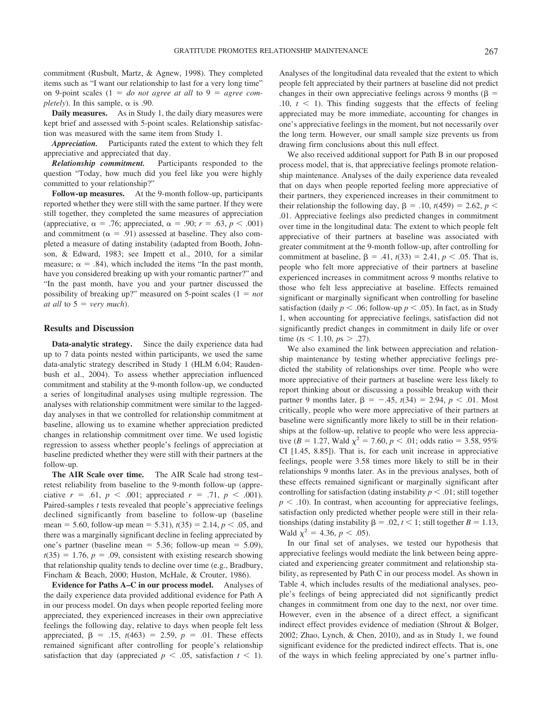commitment (Rusbult, Martz, & Agnew, 1998). They completed items such as "I want our relationship to last for a very long time" on 9-point scales  $(1 = do not agree at all to 9 = agree com$ *pletely*). In this sample,  $\alpha$  is .90.

**Daily measures.** As in Study 1, the daily diary measures were kept brief and assessed with 5-point scales. Relationship satisfaction was measured with the same item from Study 1.

*Appreciation.* Participants rated the extent to which they felt appreciative and appreciated that day.

*Relationship commitment.* Participants responded to the question "Today, how much did you feel like you were highly committed to your relationship?"

**Follow-up measures.** At the 9-month follow-up, participants reported whether they were still with the same partner. If they were still together, they completed the same measures of appreciation (appreciative,  $\alpha = .76$ ; appreciated,  $\alpha = .90$ ;  $r = .63$ ,  $p < .001$ ) and commitment ( $\alpha = .91$ ) assessed at baseline. They also completed a measure of dating instability (adapted from Booth, Johnson, & Edward, 1983; see Impett et al., 2010, for a similar measure;  $\alpha = .84$ ), which included the items "In the past month, have you considered breaking up with your romantic partner?" and "In the past month, have you and your partner discussed the possibility of breaking up?" measured on 5-point scales  $(1 = not$ *at all* to  $5 = \text{very much}$ .

#### **Results and Discussion**

**Data-analytic strategy.** Since the daily experience data had up to 7 data points nested within participants, we used the same data-analytic strategy described in Study 1 (HLM 6.04; Raudenbush et al., 2004). To assess whether appreciation influenced commitment and stability at the 9-month follow-up, we conducted a series of longitudinal analyses using multiple regression. The analyses with relationship commitment were similar to the laggedday analyses in that we controlled for relationship commitment at baseline, allowing us to examine whether appreciation predicted changes in relationship commitment over time. We used logistic regression to assess whether people's feelings of appreciation at baseline predicted whether they were still with their partners at the follow-up.

**The AIR Scale over time.** The AIR Scale had strong test– retest reliability from baseline to the 9-month follow-up (appreciative  $r = .61, p < .001$ ; appreciated  $r = .71, p < .001$ ). Paired-samples *t* tests revealed that people's appreciative feelings declined significantly from baseline to follow-up (baseline mean = 5.60, follow-up mean = 5.31),  $t(35) = 2.14$ ,  $p < .05$ , and there was a marginally significant decline in feeling appreciated by one's partner (baseline mean  $= 5.36$ ; follow-up mean  $= 5.09$ ),  $t(35) = 1.76$ ,  $p = .09$ , consistent with existing research showing that relationship quality tends to decline over time (e.g., Bradbury, Fincham & Beach, 2000; Huston, McHale, & Crouter, 1986).

**Evidence for Paths A–C in our process model.** Analyses of the daily experience data provided additional evidence for Path A in our process model. On days when people reported feeling more appreciated, they experienced increases in their own appreciative feelings the following day, relative to days when people felt less appreciated,  $\beta = .15$ ,  $t(463) = 2.59$ ,  $p = .01$ . These effects remained significant after controlling for people's relationship satisfaction that day (appreciated  $p < .05$ , satisfaction  $t < 1$ ).

Analyses of the longitudinal data revealed that the extent to which people felt appreciated by their partners at baseline did not predict changes in their own appreciative feelings across 9 months ( $\beta$  = .10,  $t < 1$ ). This finding suggests that the effects of feeling appreciated may be more immediate, accounting for changes in one's appreciative feelings in the moment, but not necessarily over the long term. However, our small sample size prevents us from drawing firm conclusions about this null effect.

We also received additional support for Path B in our proposed process model, that is, that appreciative feelings promote relationship maintenance. Analyses of the daily experience data revealed that on days when people reported feeling more appreciative of their partners, they experienced increases in their commitment to their relationship the following day,  $\beta = .10$ ,  $t(459) = 2.62$ ,  $p <$ .01. Appreciative feelings also predicted changes in commitment over time in the longitudinal data: The extent to which people felt appreciative of their partners at baseline was associated with greater commitment at the 9-month follow-up, after controlling for commitment at baseline,  $\beta = .41$ ,  $t(33) = 2.41$ ,  $p < .05$ . That is, people who felt more appreciative of their partners at baseline experienced increases in commitment across 9 months relative to those who felt less appreciative at baseline. Effects remained significant or marginally significant when controlling for baseline satisfaction (daily  $p < .06$ ; follow-up  $p < .05$ ). In fact, as in Study 1, when accounting for appreciative feelings, satisfaction did not significantly predict changes in commitment in daily life or over time (*t*s  $\leq$  1.10, *p*s  $> .27$ ).

We also examined the link between appreciation and relationship maintenance by testing whether appreciative feelings predicted the stability of relationships over time. People who were more appreciative of their partners at baseline were less likely to report thinking about or discussing a possible breakup with their partner 9 months later,  $\beta = -.45$ ,  $t(34) = 2.94$ ,  $p < .01$ . Most critically, people who were more appreciative of their partners at baseline were significantly more likely to still be in their relationships at the follow-up, relative to people who were less appreciative (*B* = 1.27, Wald  $\chi^2$  = 7.60, *p* < .01; odds ratio = 3.58, 95% CI [1.45, 8.85]). That is, for each unit increase in appreciative feelings, people were 3.58 times more likely to still be in their relationships 9 months later. As in the previous analyses, both of these effects remained significant or marginally significant after controlling for satisfaction (dating instability  $p < .01$ ; still together  $p < .10$ ). In contrast, when accounting for appreciative feelings, satisfaction only predicted whether people were still in their relationships (dating instability  $\beta = .02$ ,  $t < 1$ ; still together  $B = 1.13$ , Wald  $\chi^2 = 4.36, p < .05$ ).

In our final set of analyses, we tested our hypothesis that appreciative feelings would mediate the link between being appreciated and experiencing greater commitment and relationship stability, as represented by Path C in our process model. As shown in Table 4, which includes results of the mediational analyses, people's feelings of being appreciated did not significantly predict changes in commitment from one day to the next, nor over time. However, even in the absence of a direct effect, a significant indirect effect provides evidence of mediation (Shrout & Bolger, 2002; Zhao, Lynch, & Chen, 2010), and as in Study 1, we found significant evidence for the predicted indirect effects. That is, one of the ways in which feeling appreciated by one's partner influ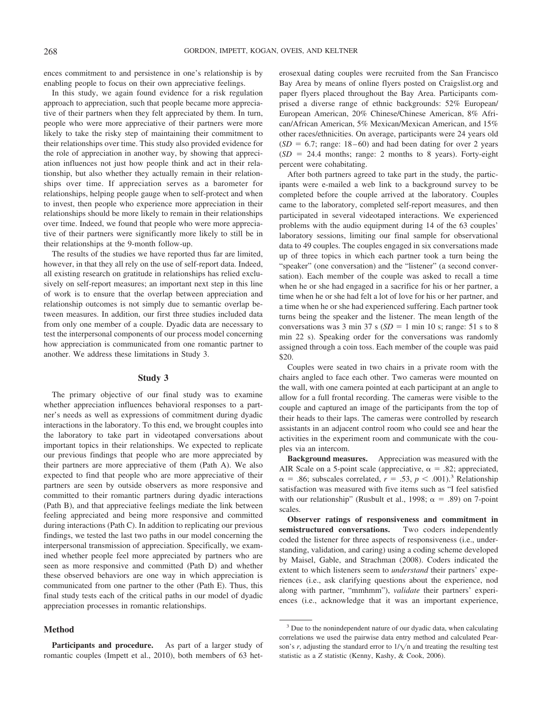ences commitment to and persistence in one's relationship is by enabling people to focus on their own appreciative feelings.

In this study, we again found evidence for a risk regulation approach to appreciation, such that people became more appreciative of their partners when they felt appreciated by them. In turn, people who were more appreciative of their partners were more likely to take the risky step of maintaining their commitment to their relationships over time. This study also provided evidence for the role of appreciation in another way, by showing that appreciation influences not just how people think and act in their relationship, but also whether they actually remain in their relationships over time. If appreciation serves as a barometer for relationships, helping people gauge when to self-protect and when to invest, then people who experience more appreciation in their relationships should be more likely to remain in their relationships over time. Indeed, we found that people who were more appreciative of their partners were significantly more likely to still be in their relationships at the 9-month follow-up.

The results of the studies we have reported thus far are limited, however, in that they all rely on the use of self-report data. Indeed, all existing research on gratitude in relationships has relied exclusively on self-report measures; an important next step in this line of work is to ensure that the overlap between appreciation and relationship outcomes is not simply due to semantic overlap between measures. In addition, our first three studies included data from only one member of a couple. Dyadic data are necessary to test the interpersonal components of our process model concerning how appreciation is communicated from one romantic partner to another. We address these limitations in Study 3.

#### **Study 3**

The primary objective of our final study was to examine whether appreciation influences behavioral responses to a partner's needs as well as expressions of commitment during dyadic interactions in the laboratory. To this end, we brought couples into the laboratory to take part in videotaped conversations about important topics in their relationships. We expected to replicate our previous findings that people who are more appreciated by their partners are more appreciative of them (Path A). We also expected to find that people who are more appreciative of their partners are seen by outside observers as more responsive and committed to their romantic partners during dyadic interactions (Path B), and that appreciative feelings mediate the link between feeling appreciated and being more responsive and committed during interactions (Path C). In addition to replicating our previous findings, we tested the last two paths in our model concerning the interpersonal transmission of appreciation. Specifically, we examined whether people feel more appreciated by partners who are seen as more responsive and committed (Path D) and whether these observed behaviors are one way in which appreciation is communicated from one partner to the other (Path E). Thus, this final study tests each of the critical paths in our model of dyadic appreciation processes in romantic relationships.

## **Method**

**Participants and procedure.** As part of a larger study of romantic couples (Impett et al., 2010), both members of 63 heterosexual dating couples were recruited from the San Francisco Bay Area by means of online flyers posted on Craigslist.org and paper flyers placed throughout the Bay Area. Participants comprised a diverse range of ethnic backgrounds: 52% European/ European American, 20% Chinese/Chinese American, 8% African/African American, 5% Mexican/Mexican American, and 15% other races/ethnicities. On average, participants were 24 years old  $(SD = 6.7; \text{ range: } 18-60)$  and had been dating for over 2 years  $(SD = 24.4$  months; range: 2 months to 8 years). Forty-eight percent were cohabitating.

After both partners agreed to take part in the study, the participants were e-mailed a web link to a background survey to be completed before the couple arrived at the laboratory. Couples came to the laboratory, completed self-report measures, and then participated in several videotaped interactions. We experienced problems with the audio equipment during 14 of the 63 couples' laboratory sessions, limiting our final sample for observational data to 49 couples. The couples engaged in six conversations made up of three topics in which each partner took a turn being the "speaker" (one conversation) and the "listener" (a second conversation). Each member of the couple was asked to recall a time when he or she had engaged in a sacrifice for his or her partner, a time when he or she had felt a lot of love for his or her partner, and a time when he or she had experienced suffering. Each partner took turns being the speaker and the listener. The mean length of the conversations was  $3 \text{ min } 37 \text{ s } (SD = 1 \text{ min } 10 \text{ s}; \text{ range: } 51 \text{ s to } 8$ min 22 s). Speaking order for the conversations was randomly assigned through a coin toss. Each member of the couple was paid \$20.

Couples were seated in two chairs in a private room with the chairs angled to face each other. Two cameras were mounted on the wall, with one camera pointed at each participant at an angle to allow for a full frontal recording. The cameras were visible to the couple and captured an image of the participants from the top of their heads to their laps. The cameras were controlled by research assistants in an adjacent control room who could see and hear the activities in the experiment room and communicate with the couples via an intercom.

**Background measures.** Appreciation was measured with the AIR Scale on a 5-point scale (appreciative,  $\alpha = .82$ ; appreciated,  $\alpha$  = .86; subscales correlated,  $r = .53$ ,  $p < .001$ ).<sup>3</sup> Relationship satisfaction was measured with five items such as "I feel satisfied with our relationship" (Rusbult et al., 1998;  $\alpha = .89$ ) on 7-point scales.

**Observer ratings of responsiveness and commitment in semistructured conversations.** Two coders independently coded the listener for three aspects of responsiveness (i.e., understanding, validation, and caring) using a coding scheme developed by Maisel, Gable, and Strachman (2008). Coders indicated the extent to which listeners seem to *understand* their partners' experiences (i.e., ask clarifying questions about the experience, nod along with partner, "mmhmm"), *validate* their partners' experiences (i.e., acknowledge that it was an important experience,

<sup>&</sup>lt;sup>3</sup> Due to the nonindependent nature of our dyadic data, when calculating correlations we used the pairwise data entry method and calculated Pearson's  $r$ , adjusting the standard error to  $1/\sqrt{n}$  and treating the resulting test statistic as a *Z* statistic (Kenny, Kashy, & Cook, 2006).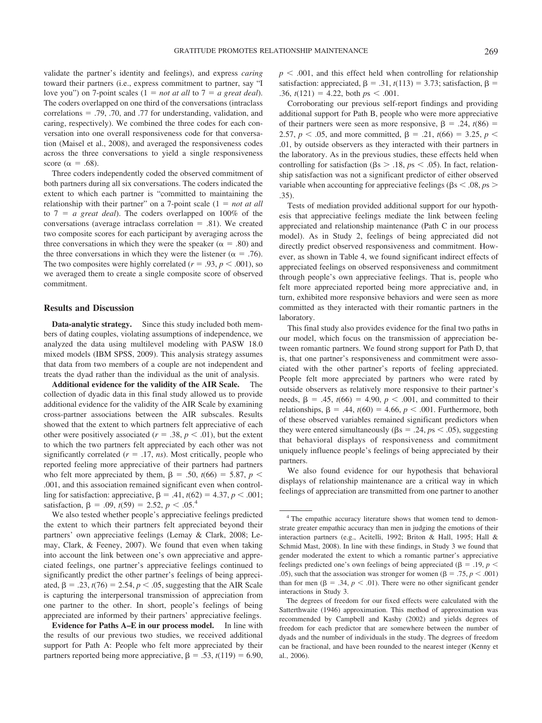validate the partner's identity and feelings), and express *caring* toward their partners (i.e., express commitment to partner, say "I love you") on 7-point scales  $(1 = not at all to 7 = a great deal)$ . The coders overlapped on one third of the conversations (intraclass correlations  $= .79, .70,$  and  $.77$  for understanding, validation, and caring, respectively). We combined the three codes for each conversation into one overall responsiveness code for that conversation (Maisel et al., 2008), and averaged the responsiveness codes across the three conversations to yield a single responsiveness score ( $\alpha = .68$ ).

Three coders independently coded the observed commitment of both partners during all six conversations. The coders indicated the extent to which each partner is "committed to maintaining the relationship with their partner" on a 7-point scale  $(1 = not at all)$ to  $7 = a$  *great deal*). The coders overlapped on  $100\%$  of the conversations (average intraclass correlation  $= .81$ ). We created two composite scores for each participant by averaging across the three conversations in which they were the speaker ( $\alpha = .80$ ) and the three conversations in which they were the listener ( $\alpha = .76$ ). The two composites were highly correlated  $(r = .93, p < .001)$ , so we averaged them to create a single composite score of observed commitment.

### **Results and Discussion**

**Data-analytic strategy.** Since this study included both members of dating couples, violating assumptions of independence, we analyzed the data using multilevel modeling with PASW 18.0 mixed models (IBM SPSS, 2009). This analysis strategy assumes that data from two members of a couple are not independent and treats the dyad rather than the individual as the unit of analysis.

**Additional evidence for the validity of the AIR Scale.** The collection of dyadic data in this final study allowed us to provide additional evidence for the validity of the AIR Scale by examining cross-partner associations between the AIR subscales. Results showed that the extent to which partners felt appreciative of each other were positively associated ( $r = .38$ ,  $p < .01$ ), but the extent to which the two partners felt appreciated by each other was not significantly correlated  $(r = .17, ns)$ . Most critically, people who reported feeling more appreciative of their partners had partners who felt more appreciated by them,  $\beta = .50$ ,  $t(66) = 5.87$ ,  $p <$ .001, and this association remained significant even when controlling for satisfaction: appreciative,  $\beta = .41$ ,  $t(62) = 4.37$ ,  $p < .001$ ; satisfaction,  $\beta = .09$ ,  $t(59) = 2.52$ ,  $p < .05$ <sup>4</sup>

We also tested whether people's appreciative feelings predicted the extent to which their partners felt appreciated beyond their partners' own appreciative feelings (Lemay & Clark, 2008; Lemay, Clark, & Feeney, 2007). We found that even when taking into account the link between one's own appreciative and appreciated feelings, one partner's appreciative feelings continued to significantly predict the other partner's feelings of being appreciated,  $\beta = .23$ ,  $t(76) = 2.54$ ,  $p < .05$ , suggesting that the AIR Scale is capturing the interpersonal transmission of appreciation from one partner to the other. In short, people's feelings of being appreciated are informed by their partners' appreciative feelings.

**Evidence for Paths A–E in our process model.** In line with the results of our previous two studies, we received additional support for Path A: People who felt more appreciated by their partners reported being more appreciative,  $\beta = .53$ ,  $t(119) = 6.90$ ,

 $p < .001$ , and this effect held when controlling for relationship satisfaction: appreciated,  $\beta = .31$ ,  $t(113) = 3.73$ ; satisfaction,  $\beta =$  $.36, t(121) = 4.22, \text{ both } ps < .001.$ 

Corroborating our previous self-report findings and providing additional support for Path B, people who were more appreciative of their partners were seen as more responsive,  $\beta = .24$ ,  $t(86) =$ 2.57,  $p < .05$ , and more committed,  $\beta = .21$ ,  $t(66) = 3.25$ ,  $p <$ .01, by outside observers as they interacted with their partners in the laboratory. As in the previous studies, these effects held when controlling for satisfaction ( $\beta s > .18$ ,  $\beta s < .05$ ). In fact, relationship satisfaction was not a significant predictor of either observed variable when accounting for appreciative feelings ( $\beta$ s < .08,  $p$ s > .35).

Tests of mediation provided additional support for our hypothesis that appreciative feelings mediate the link between feeling appreciated and relationship maintenance (Path C in our process model). As in Study 2, feelings of being appreciated did not directly predict observed responsiveness and commitment. However, as shown in Table 4, we found significant indirect effects of appreciated feelings on observed responsiveness and commitment through people's own appreciative feelings. That is, people who felt more appreciated reported being more appreciative and, in turn, exhibited more responsive behaviors and were seen as more committed as they interacted with their romantic partners in the laboratory.

This final study also provides evidence for the final two paths in our model, which focus on the transmission of appreciation between romantic partners. We found strong support for Path D, that is, that one partner's responsiveness and commitment were associated with the other partner's reports of feeling appreciated. People felt more appreciated by partners who were rated by outside observers as relatively more responsive to their partner's needs,  $\beta = .45$ ,  $t(66) = 4.90$ ,  $p < .001$ , and committed to their relationships,  $\beta = .44$ ,  $t(60) = 4.66$ ,  $p < .001$ . Furthermore, both of these observed variables remained significant predictors when they were entered simultaneously ( $\beta$ s = .24,  $\beta$ s < .05), suggesting that behavioral displays of responsiveness and commitment uniquely influence people's feelings of being appreciated by their partners.

We also found evidence for our hypothesis that behavioral displays of relationship maintenance are a critical way in which feelings of appreciation are transmitted from one partner to another

<sup>&</sup>lt;sup>4</sup> The empathic accuracy literature shows that women tend to demonstrate greater empathic accuracy than men in judging the emotions of their interaction partners (e.g., Acitelli, 1992; Briton & Hall, 1995; Hall & Schmid Mast, 2008). In line with these findings, in Study 3 we found that gender moderated the extent to which a romantic partner's appreciative feelings predicted one's own feelings of being appreciated ( $\beta = .19$ ,  $p <$ .05), such that the association was stronger for women ( $\beta = .75$ ,  $p < .001$ ) than for men ( $\beta = .34$ ,  $p < .01$ ). There were no other significant gender interactions in Study 3.

The degrees of freedom for our fixed effects were calculated with the Satterthwaite (1946) approximation. This method of approximation was recommended by Campbell and Kashy (2002) and yields degrees of freedom for each predictor that are somewhere between the number of dyads and the number of individuals in the study. The degrees of freedom can be fractional, and have been rounded to the nearest integer (Kenny et al., 2006).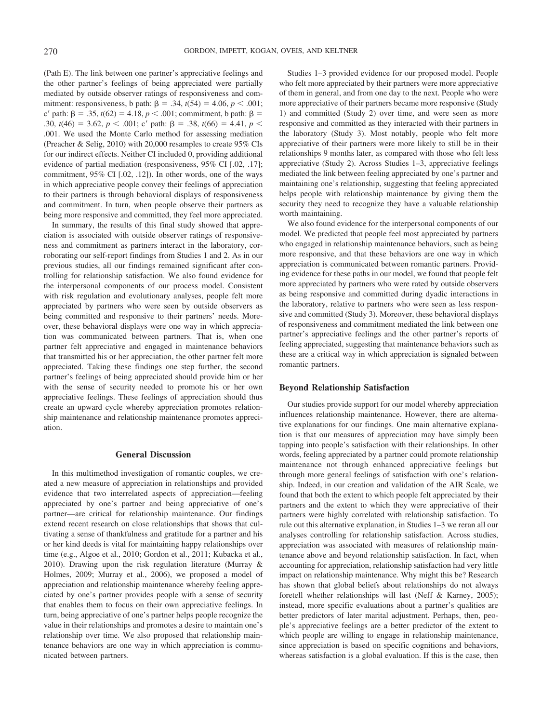(Path E). The link between one partner's appreciative feelings and the other partner's feelings of being appreciated were partially mediated by outside observer ratings of responsiveness and commitment: responsiveness, b path:  $\beta = .34$ ,  $t(54) = 4.06$ ,  $p < .001$ ; c' path:  $\beta = .35$ ,  $t(62) = 4.18$ ,  $p < .001$ ; commitment, b path:  $\beta =$ .30,  $t(46) = 3.62$ ,  $p < .001$ ; c' path:  $\beta = .38$ ,  $t(66) = 4.41$ ,  $p <$ .001. We used the Monte Carlo method for assessing mediation (Preacher & Selig, 2010) with 20,000 resamples to create 95% CIs for our indirect effects. Neither CI included 0, providing additional evidence of partial mediation (responsiveness, 95% CI [.02, .17]; commitment, 95% CI [.02, .12]). In other words, one of the ways in which appreciative people convey their feelings of appreciation to their partners is through behavioral displays of responsiveness and commitment. In turn, when people observe their partners as being more responsive and committed, they feel more appreciated.

In summary, the results of this final study showed that appreciation is associated with outside observer ratings of responsiveness and commitment as partners interact in the laboratory, corroborating our self-report findings from Studies 1 and 2. As in our previous studies, all our findings remained significant after controlling for relationship satisfaction. We also found evidence for the interpersonal components of our process model. Consistent with risk regulation and evolutionary analyses, people felt more appreciated by partners who were seen by outside observers as being committed and responsive to their partners' needs. Moreover, these behavioral displays were one way in which appreciation was communicated between partners. That is, when one partner felt appreciative and engaged in maintenance behaviors that transmitted his or her appreciation, the other partner felt more appreciated. Taking these findings one step further, the second partner's feelings of being appreciated should provide him or her with the sense of security needed to promote his or her own appreciative feelings. These feelings of appreciation should thus create an upward cycle whereby appreciation promotes relationship maintenance and relationship maintenance promotes appreciation.

## **General Discussion**

In this multimethod investigation of romantic couples, we created a new measure of appreciation in relationships and provided evidence that two interrelated aspects of appreciation—feeling appreciated by one's partner and being appreciative of one's partner—are critical for relationship maintenance. Our findings extend recent research on close relationships that shows that cultivating a sense of thankfulness and gratitude for a partner and his or her kind deeds is vital for maintaining happy relationships over time (e.g., Algoe et al., 2010; Gordon et al., 2011; Kubacka et al., 2010). Drawing upon the risk regulation literature (Murray & Holmes, 2009; Murray et al., 2006), we proposed a model of appreciation and relationship maintenance whereby feeling appreciated by one's partner provides people with a sense of security that enables them to focus on their own appreciative feelings. In turn, being appreciative of one's partner helps people recognize the value in their relationships and promotes a desire to maintain one's relationship over time. We also proposed that relationship maintenance behaviors are one way in which appreciation is communicated between partners.

Studies 1–3 provided evidence for our proposed model. People who felt more appreciated by their partners were more appreciative of them in general, and from one day to the next. People who were more appreciative of their partners became more responsive (Study 1) and committed (Study 2) over time, and were seen as more responsive and committed as they interacted with their partners in the laboratory (Study 3). Most notably, people who felt more appreciative of their partners were more likely to still be in their relationships 9 months later, as compared with those who felt less appreciative (Study 2). Across Studies 1–3, appreciative feelings mediated the link between feeling appreciated by one's partner and maintaining one's relationship, suggesting that feeling appreciated helps people with relationship maintenance by giving them the security they need to recognize they have a valuable relationship worth maintaining.

We also found evidence for the interpersonal components of our model. We predicted that people feel most appreciated by partners who engaged in relationship maintenance behaviors, such as being more responsive, and that these behaviors are one way in which appreciation is communicated between romantic partners. Providing evidence for these paths in our model, we found that people felt more appreciated by partners who were rated by outside observers as being responsive and committed during dyadic interactions in the laboratory, relative to partners who were seen as less responsive and committed (Study 3). Moreover, these behavioral displays of responsiveness and commitment mediated the link between one partner's appreciative feelings and the other partner's reports of feeling appreciated, suggesting that maintenance behaviors such as these are a critical way in which appreciation is signaled between romantic partners.

#### **Beyond Relationship Satisfaction**

Our studies provide support for our model whereby appreciation influences relationship maintenance. However, there are alternative explanations for our findings. One main alternative explanation is that our measures of appreciation may have simply been tapping into people's satisfaction with their relationships. In other words, feeling appreciated by a partner could promote relationship maintenance not through enhanced appreciative feelings but through more general feelings of satisfaction with one's relationship. Indeed, in our creation and validation of the AIR Scale, we found that both the extent to which people felt appreciated by their partners and the extent to which they were appreciative of their partners were highly correlated with relationship satisfaction. To rule out this alternative explanation, in Studies 1–3 we reran all our analyses controlling for relationship satisfaction. Across studies, appreciation was associated with measures of relationship maintenance above and beyond relationship satisfaction. In fact, when accounting for appreciation, relationship satisfaction had very little impact on relationship maintenance. Why might this be? Research has shown that global beliefs about relationships do not always foretell whether relationships will last (Neff & Karney, 2005); instead, more specific evaluations about a partner's qualities are better predictors of later marital adjustment. Perhaps, then, people's appreciative feelings are a better predictor of the extent to which people are willing to engage in relationship maintenance, since appreciation is based on specific cognitions and behaviors, whereas satisfaction is a global evaluation. If this is the case, then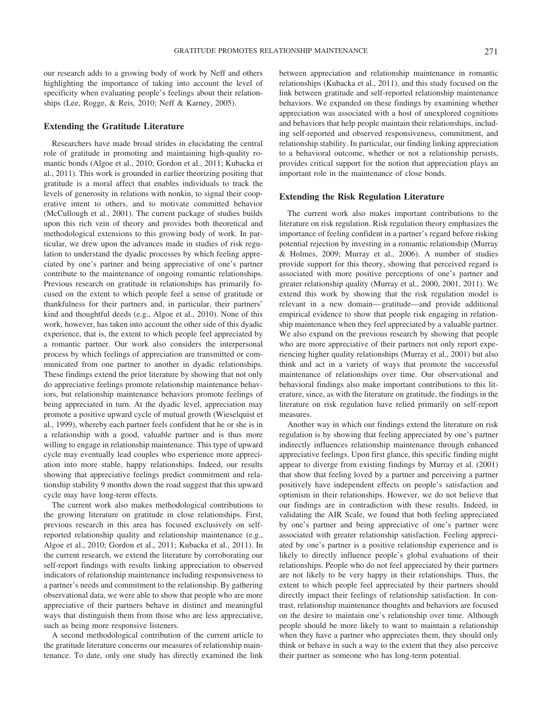our research adds to a growing body of work by Neff and others highlighting the importance of taking into account the level of specificity when evaluating people's feelings about their relationships (Lee, Rogge, & Reis, 2010; Neff & Karney, 2005).

#### **Extending the Gratitude Literature**

Researchers have made broad strides in elucidating the central role of gratitude in promoting and maintaining high-quality romantic bonds (Algoe et al., 2010; Gordon et al., 2011; Kubacka et al., 2011). This work is grounded in earlier theorizing positing that gratitude is a moral affect that enables individuals to track the levels of generosity in relations with nonkin, to signal their cooperative intent to others, and to motivate committed behavior (McCullough et al., 2001). The current package of studies builds upon this rich vein of theory and provides both theoretical and methodological extensions to this growing body of work. In particular, we drew upon the advances made in studies of risk regulation to understand the dyadic processes by which feeling appreciated by one's partner and being appreciative of one's partner contribute to the maintenance of ongoing romantic relationships. Previous research on gratitude in relationships has primarily focused on the extent to which people feel a sense of gratitude or thankfulness for their partners and, in particular, their partners' kind and thoughtful deeds (e.g., Algoe et al., 2010). None of this work, however, has taken into account the other side of this dyadic experience, that is, the extent to which people feel appreciated by a romantic partner. Our work also considers the interpersonal process by which feelings of appreciation are transmitted or communicated from one partner to another in dyadic relationships. These findings extend the prior literature by showing that not only do appreciative feelings promote relationship maintenance behaviors, but relationship maintenance behaviors promote feelings of being appreciated in turn. At the dyadic level, appreciation may promote a positive upward cycle of mutual growth (Wieselquist et al., 1999), whereby each partner feels confident that he or she is in a relationship with a good, valuable partner and is thus more willing to engage in relationship maintenance. This type of upward cycle may eventually lead couples who experience more appreciation into more stable, happy relationships. Indeed, our results showing that appreciative feelings predict commitment and relationship stability 9 months down the road suggest that this upward cycle may have long-term effects.

The current work also makes methodological contributions to the growing literature on gratitude in close relationships. First, previous research in this area has focused exclusively on selfreported relationship quality and relationship maintenance (e.g., Algoe et al., 2010; Gordon et al., 2011; Kubacka et al., 2011). In the current research, we extend the literature by corroborating our self-report findings with results linking appreciation to observed indicators of relationship maintenance including responsiveness to a partner's needs and commitment to the relationship. By gathering observational data, we were able to show that people who are more appreciative of their partners behave in distinct and meaningful ways that distinguish them from those who are less appreciative, such as being more responsive listeners.

A second methodological contribution of the current article to the gratitude literature concerns our measures of relationship maintenance. To date, only one study has directly examined the link between appreciation and relationship maintenance in romantic relationships (Kubacka et al., 2011), and this study focused on the link between gratitude and self-reported relationship maintenance behaviors. We expanded on these findings by examining whether appreciation was associated with a host of unexplored cognitions and behaviors that help people maintain their relationships, including self-reported and observed responsiveness, commitment, and relationship stability. In particular, our finding linking appreciation to a behavioral outcome, whether or not a relationship persists, provides critical support for the notion that appreciation plays an important role in the maintenance of close bonds.

#### **Extending the Risk Regulation Literature**

The current work also makes important contributions to the literature on risk regulation. Risk regulation theory emphasizes the importance of feeling confident in a partner's regard before risking potential rejection by investing in a romantic relationship (Murray & Holmes, 2009; Murray et al., 2006). A number of studies provide support for this theory, showing that perceived regard is associated with more positive perceptions of one's partner and greater relationship quality (Murray et al., 2000, 2001, 2011). We extend this work by showing that the risk regulation model is relevant in a new domain— gratitude—and provide additional empirical evidence to show that people risk engaging in relationship maintenance when they feel appreciated by a valuable partner. We also expand on the previous research by showing that people who are more appreciative of their partners not only report experiencing higher quality relationships (Murray et al., 2001) but also think and act in a variety of ways that promote the successful maintenance of relationships over time. Our observational and behavioral findings also make important contributions to this literature, since, as with the literature on gratitude, the findings in the literature on risk regulation have relied primarily on self-report measures.

Another way in which our findings extend the literature on risk regulation is by showing that feeling appreciated by one's partner indirectly influences relationship maintenance through enhanced appreciative feelings. Upon first glance, this specific finding might appear to diverge from existing findings by Murray et al. (2001) that show that feeling loved by a partner and perceiving a partner positively have independent effects on people's satisfaction and optimism in their relationships. However, we do not believe that our findings are in contradiction with these results. Indeed, in validating the AIR Scale, we found that both feeling appreciated by one's partner and being appreciative of one's partner were associated with greater relationship satisfaction. Feeling appreciated by one's partner is a positive relationship experience and is likely to directly influence people's global evaluations of their relationships. People who do not feel appreciated by their partners are not likely to be very happy in their relationships. Thus, the extent to which people feel appreciated by their partners should directly impact their feelings of relationship satisfaction. In contrast, relationship maintenance thoughts and behaviors are focused on the desire to maintain one's relationship over time. Although people should be more likely to want to maintain a relationship when they have a partner who appreciates them, they should only think or behave in such a way to the extent that they also perceive their partner as someone who has long-term potential.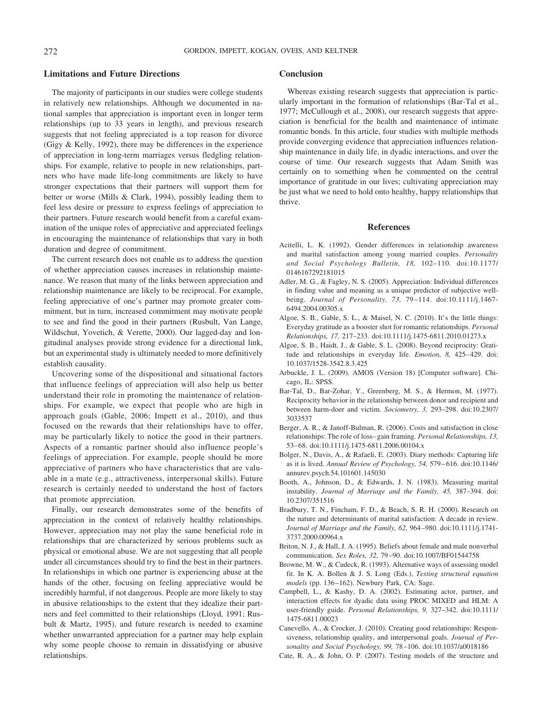## **Limitations and Future Directions**

The majority of participants in our studies were college students in relatively new relationships. Although we documented in national samples that appreciation is important even in longer term relationships (up to 33 years in length), and previous research suggests that not feeling appreciated is a top reason for divorce (Gigy & Kelly, 1992), there may be differences in the experience of appreciation in long-term marriages versus fledgling relationships. For example, relative to people in new relationships, partners who have made life-long commitments are likely to have stronger expectations that their partners will support them for better or worse (Mills & Clark, 1994), possibly leading them to feel less desire or pressure to express feelings of appreciation to their partners. Future research would benefit from a careful examination of the unique roles of appreciative and appreciated feelings in encouraging the maintenance of relationships that vary in both duration and degree of commitment.

The current research does not enable us to address the question of whether appreciation causes increases in relationship maintenance. We reason that many of the links between appreciation and relationship maintenance are likely to be reciprocal. For example, feeling appreciative of one's partner may promote greater commitment, but in turn, increased commitment may motivate people to see and find the good in their partners (Rusbult, Van Lange, Wildschut, Yovetich, & Verette, 2000). Our lagged-day and longitudinal analyses provide strong evidence for a directional link, but an experimental study is ultimately needed to more definitively establish causality.

Uncovering some of the dispositional and situational factors that influence feelings of appreciation will also help us better understand their role in promoting the maintenance of relationships. For example, we expect that people who are high in approach goals (Gable, 2006; Impett et al., 2010), and thus focused on the rewards that their relationships have to offer, may be particularly likely to notice the good in their partners. Aspects of a romantic partner should also influence people's feelings of appreciation. For example, people should be more appreciative of partners who have characteristics that are valuable in a mate (e.g., attractiveness, interpersonal skills). Future research is certainly needed to understand the host of factors that promote appreciation.

Finally, our research demonstrates some of the benefits of appreciation in the context of relatively healthy relationships. However, appreciation may not play the same beneficial role in relationships that are characterized by serious problems such as physical or emotional abuse. We are not suggesting that all people under all circumstances should try to find the best in their partners. In relationships in which one partner is experiencing abuse at the hands of the other, focusing on feeling appreciative would be incredibly harmful, if not dangerous. People are more likely to stay in abusive relationships to the extent that they idealize their partners and feel committed to their relationships (Lloyd, 1991; Rusbult & Martz, 1995), and future research is needed to examine whether unwarranted appreciation for a partner may help explain why some people choose to remain in dissatisfying or abusive relationships.

## **Conclusion**

Whereas existing research suggests that appreciation is particularly important in the formation of relationships (Bar-Tal et al., 1977; McCullough et al., 2008), our research suggests that appreciation is beneficial for the health and maintenance of intimate romantic bonds. In this article, four studies with multiple methods provide converging evidence that appreciation influences relationship maintenance in daily life, in dyadic interactions, and over the course of time. Our research suggests that Adam Smith was certainly on to something when he commented on the central importance of gratitude in our lives; cultivating appreciation may be just what we need to hold onto healthy, happy relationships that thrive.

## **References**

- Acitelli, L. K. (1992). Gender differences in relationship awareness and marital satisfaction among young married couples. *Personality and Social Psychology Bulletin, 18,* 102–110. doi:10.1177/ 0146167292181015
- Adler, M. G., & Fagley, N. S. (2005). Appreciation: Individual differences in finding value and meaning as a unique predictor of subjective wellbeing. *Journal of Personality, 73,* 79 –114. doi:10.1111/j.1467- 6494.2004.00305.x
- Algoe, S. B., Gable, S. L., & Maisel, N. C. (2010). It's the little things: Everyday gratitude as a booster shot for romantic relationships. *Personal Relationships, 17,* 217–233. doi:10.1111/j.1475-6811.2010.01273.x
- Algoe, S. B., Haidt, J., & Gable, S. L. (2008). Beyond reciprocity: Gratitude and relationships in everyday life. *Emotion*, 8, 425-429. doi: 10.1037/1528-3542.8.3.425
- Arbuckle, J. L. (2009). AMOS (Version 18) [Computer software]. Chicago, IL: SPSS.
- Bar-Tal, D., Bar-Zohar, Y., Greenberg, M. S., & Hermon, M. (1977). Reciprocity behavior in the relationship between donor and recipient and between harm-doer and victim. *Sociometry, 3,* 293–298. doi:10.2307/ 3033537
- Berger, A. R., & Janoff-Bulman, R. (2006). Costs and satisfaction in close relationships: The role of loss– gain framing. *Personal Relationships, 13,* 53– 68. doi:10.1111/j.1475-6811.2006.00104.x
- Bolger, N., Davis, A., & Rafaeli, E. (2003). Diary methods: Capturing life as it is lived. *Annual Review of Psychology, 54,* 579 – 616. doi:10.1146/ annurev.psych.54.101601.145030
- Booth, A., Johnson, D., & Edwards, J. N. (1983). Measuring marital instability. *Journal of Marriage and the Family, 45,* 387–394. doi: 10.2307/351516
- Bradbury, T. N., Fincham, F. D., & Beach, S. R. H. (2000). Research on the nature and determinants of marital satisfaction: A decade in review. *Journal of Marriage and the Family, 62,* 964 –980. doi:10.1111/j.1741- 3737.2000.00964.x
- Briton, N. J., & Hall, J. A. (1995). Beliefs about female and male nonverbal communication. *Sex Roles, 32,* 79 –90. doi:10.1007/BF01544758
- Browne, M. W., & Cudeck, R. (1993). Alternative ways of assessing model fit. In K. A. Bollen & J. S. Long (Eds.), *Testing structural equation models* (pp. 136 –162). Newbury Park, CA: Sage.
- Campbell, L., & Kashy, D. A. (2002). Estimating actor, partner, and interaction effects for dyadic data using PROC MIXED and HLM: A user-friendly guide. *Personal Relationships, 9,* 327–342. doi:10.1111/ 1475-6811.00023
- Canevello, A., & Crocker, J. (2010). Creating good relationships: Responsiveness, relationship quality, and interpersonal goals. *Journal of Personality and Social Psychology, 99,* 78 –106. doi:10.1037/a0018186
- Cate, R. A., & John, O. P. (2007). Testing models of the structure and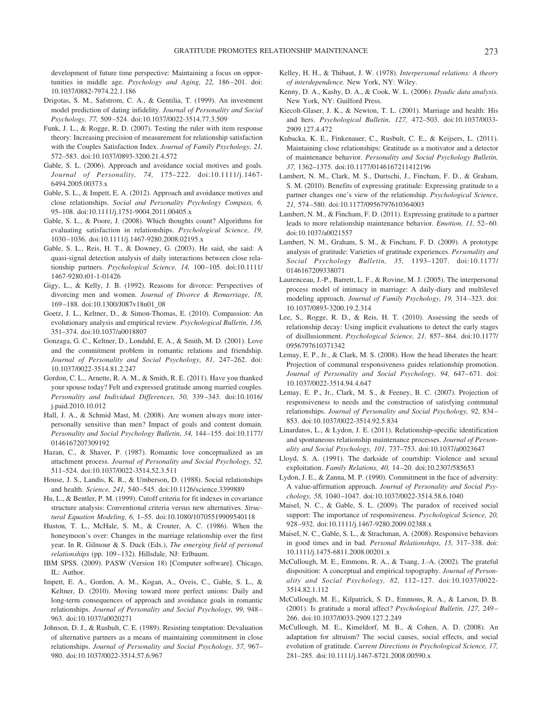development of future time perspective: Maintaining a focus on opportunities in middle age. *Psychology and Aging, 22, 186-201*. doi: 10.1037/0882-7974.22.1.186

- Drigotas, S. M., Safstrom, C. A., & Gentilia, T. (1999). An investment model prediction of dating infidelity. *Journal of Personality and Social Psychology, 77,* 509 –524. doi:10.1037/0022-3514.77.3.509
- Funk, J. L., & Rogge, R. D. (2007). Testing the ruler with item response theory: Increasing precision of measurement for relationship satisfaction with the Couples Satisfaction Index. *Journal of Family Psychology, 21,* 572–583. doi:10.1037/0893-3200.21.4.572
- Gable, S. L. (2006). Approach and avoidance social motives and goals. *Journal of Personality, 74,* 175–222. doi:10.1111/j.1467- 6494.2005.00373.x
- Gable, S. L., & Impett, E. A. (2012). Approach and avoidance motives and close relationships. *Social and Personality Psychology Compass, 6,* 95–108. doi:10.1111/j.1751-9004.2011.00405.x
- Gable, S. L., & Poore, J. (2008). Which thoughts count? Algorithms for evaluating satisfaction in relationships. *Psychological Science, 19,* 1030 –1036. doi:10.1111/j.1467-9280.2008.02195.x
- Gable, S. L., Reis, H. T., & Downey, G. (2003). He said, she said: A quasi-signal detection analysis of daily interactions between close relationship partners. *Psychological Science, 14,* 100 –105. doi:10.1111/ 1467-9280.t01-1-01426
- Gigy, L., & Kelly, J. B. (1992). Reasons for divorce: Perspectives of divorcing men and women. *Journal of Divorce & Remarriage, 18,* 169 –188. doi:10.1300/J087v18n01\_08
- Goetz, J. L., Keltner, D., & Simon-Thomas, E. (2010). Compassion: An evolutionary analysis and empirical review. *Psychological Bulletin, 136,* 351–374. doi:10.1037/a0018807
- Gonzaga, G. C., Keltner, D., Londahl, E. A., & Smith, M. D. (2001). Love and the commitment problem in romantic relations and friendship. *Journal of Personality and Social Psychology, 81,* 247–262. doi: 10.1037/0022-3514.81.2.247
- Gordon, C. L., Arnette, R. A. M., & Smith, R. E. (2011). Have you thanked your spouse today? Felt and expressed gratitude among married couples. *Personality and Individual Differences, 50,* 339 –343. doi:10.1016/ j.paid.2010.10.012
- Hall, J. A., & Schmid Mast, M. (2008). Are women always more interpersonally sensitive than men? Impact of goals and content domain. *Personality and Social Psychology Bulletin, 34,* 144 –155. doi:10.1177/ 0146167207309192
- Hazan, C., & Shaver, P. (1987). Romantic love conceptualized as an attachment process. *Journal of Personality and Social Psychology, 52,* 511–524. doi:10.1037/0022-3514.52.3.511
- House, J. S., Landis, K. R., & Umberson, D. (1988). Social relationships and health. *Science, 241,* 540 –545. doi:10.1126/science.3399889
- Hu, L., & Bentler, P. M. (1999). Cutoff criteria for fit indexes in covariance structure analysis: Conventional criteria versus new alternatives. *Structural Equation Modeling, 6,* 1–55. doi:10.1080/10705519909540118
- Huston, T. L., McHale, S. M., & Crouter, A. C. (1986). When the honeymoon's over: Changes in the marriage relationship over the first year. In R. Gilmour & S. Duck (Eds.), *The emerging field of personal relationships* (pp. 109 –132). Hillsdale, NJ: Erlbaum.
- IBM SPSS. (2009). PASW (Version 18) [Computer software]. Chicago, IL: Author.
- Impett, E. A., Gordon, A. M., Kogan, A., Oveis, C., Gable, S. L., & Keltner, D. (2010). Moving toward more perfect unions: Daily and long-term consequences of approach and avoidance goals in romantic relationships. *Journal of Personality and Social Psychology, 99,* 948 – 963. doi:10.1037/a0020271
- Johnson, D. J., & Rusbult, C. E. (1989). Resisting temptation: Devaluation of alternative partners as a means of maintaining commitment in close relationships. *Journal of Personality and Social Psychology, 57,* 967– 980. doi:10.1037/0022-3514.57.6.967
- Kelley, H. H., & Thibaut, J. W. (1978). *Interpersonal relations: A theory of interdependence.* New York, NY: Wiley.
- Kenny, D. A., Kashy, D. A., & Cook, W. L. (2006). *Dyadic data analysis.* New York, NY: Guilford Press.
- Kiecolt-Glaser, J. K., & Newton, T. L. (2001). Marriage and health: His and hers. *Psychological Bulletin, 127,* 472–503. doi:10.1037/0033- 2909.127.4.472
- Kubacka, K. E., Finkenauer, C., Rusbult, C. E., & Keijsers, L. (2011). Maintaining close relationships: Gratitude as a motivator and a detector of maintenance behavior. *Personality and Social Psychology Bulletin, 37,* 1362–1375. doi:10.1177/0146167211412196
- Lambert, N. M., Clark, M. S., Durtschi, J., Fincham, F. D., & Graham, S. M. (2010). Benefits of expressing gratitude: Expressing gratitude to a partner changes one's view of the relationship. *Psychological Science, 21,* 574 –580. doi:10.1177/0956797610364003
- Lambert, N. M., & Fincham, F. D. (2011). Expressing gratitude to a partner leads to more relationship maintenance behavior. *Emotion, 11, 52*–60. doi:10.1037/a0021557
- Lambert, N. M., Graham, S. M., & Fincham, F. D. (2009). A prototype analysis of gratitude: Varieties of gratitude experiences. *Personality and Social Psychology Bulletin, 35,* 1193–1207. doi:10.1177/ 0146167209338071
- Laurenceau, J.-P., Barrett, L. F., & Rovine, M. J. (2005). The interpersonal process model of intimacy in marriage: A daily-diary and multilevel modeling approach. *Journal of Family Psychology, 19,* 314 –323. doi: 10.1037/0893-3200.19.2.314
- Lee, S., Rogge, R. D., & Reis, H. T. (2010). Assessing the seeds of relationship decay: Using implicit evaluations to detect the early stages of disillusionment. *Psychological Science, 21,* 857– 864. doi:10.1177/ 0956797610371342
- Lemay, E. P., Jr., & Clark, M. S. (2008). How the head liberates the heart: Projection of communal responsiveness guides relationship promotion. Journal of Personality and Social Psychology, 94, 647–671. doi: 10.1037/0022-3514.94.4.647
- Lemay, E. P., Jr., Clark, M. S., & Feeney, B. C. (2007). Projection of responsiveness to needs and the construction of satisfying communal relationships. *Journal of Personality and Social Psychology, 92,* 834 – 853. doi:10.1037/0022-3514.92.5.834
- Linardatos, L., & Lydon, J. E. (2011). Relationship-specific identification and spontaneous relationship maintenance processes. *Journal of Personality and Social Psychology, 101,* 737–753. doi:10.1037/a0023647
- Lloyd, S. A. (1991). The darkside of courtship: Violence and sexual exploitation. *Family Relations, 40,* 14 –20. doi:10.2307/585653
- Lydon, J. E., & Zanna, M. P. (1990). Commitment in the face of adversity: A value-affirmation approach. *Journal of Personality and Social Psychology, 58,* 1040 –1047. doi:10.1037/0022-3514.58.6.1040
- Maisel, N. C., & Gable, S. L. (2009). The paradox of received social support: The importance of responsiveness. *Psychological Science, 20,* 928 –932. doi:10.1111/j.1467-9280.2009.02388.x
- Maisel, N. C., Gable, S. L., & Strachman, A. (2008). Responsive behaviors in good times and in bad. *Personal Relationships, 15,* 317–338. doi: 10.1111/j.1475-6811.2008.00201.x
- McCullough, M. E., Emmons, R. A., & Tsang, J.-A. (2002). The grateful disposition: A conceptual and empirical topography. *Journal of Personality and Social Psychology, 82,* 112–127. doi:10.1037/0022- 3514.82.1.112
- McCullough, M. E., Kilpatrick, S. D., Emmons, R. A., & Larson, D. B. (2001). Is gratitude a moral affect? *Psychological Bulletin, 127,* 249 – 266. doi:10.1037/0033-2909.127.2.249
- McCullough, M. E., Kimeldorf, M. B., & Cohen, A. D. (2008). An adaptation for altruism? The social causes, social effects, and social evolution of gratitude. *Current Directions in Psychological Science, 17,* 281–285. doi:10.1111/j.1467-8721.2008.00590.x